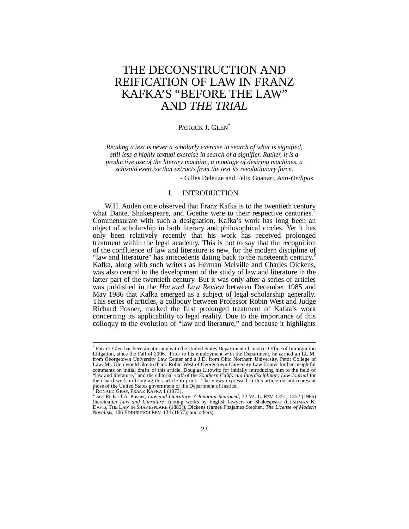# THE DECONSTRUCTION AND REIFICATION OF LAW IN FRANZ KAFKA'S "BEFORE THE LAW" AND *THE TRIAL*

# PATRICK J. GLEN<sup>\*</sup>

*Reading a text is never a scholarly exercise in search of what is signified, still less a highly textual exercise in search of a signifier. Rather, it is a productive use of the literary machine, a montage of desiring machines, a schizoid exercise that extracts from the text its revolutionary force.* - Gilles Deleuze and Felix Guattari, *Anti-Oedipus*

#### I. INTRODUCTION

W.H. Auden once observed that Franz Kafka is to the twentieth century what Dante, Shakespeare, and Goethe were to their respective centuries.<sup>1</sup> Commensurate with such a designation, Kafka's work has long been an object of scholarship in both literary and philosophical circles. Yet it has only been relatively recently that his work has received prolonged treatment within the legal academy. This is not to say that the recognition of the confluence of law and literature is new, for the modern discipline of "law and literature" has antecedents dating back to the nineteenth century.<sup>2</sup> Kafka, along with such writers as Herman Melville and Charles Dickens, was also central to the development of the study of law and literature in the latter part of the twentieth century. But it was only after a series of articles was published in the *Harvard Law Review* between December 1985 and May 1986 that Kafka emerged as a subject of legal scholarship generally. This series of articles, a colloquy between Professor Robin West and Judge Richard Posner, marked the first prolonged treatment of Kafka's work concerning its applicability to legal reality. Due to the importance of this colloquy to the evolution of "law and literature," and because it highlights

<sup>\*</sup> Patrick Glen has been an attorney with the United States Department of Justice, Office of Immigration Litigation, since the Fall of 2006. Prior to his employment with the Department, he earned an LL.M. from Georgetown University Law Center and a J.D. from Ohio Northern University, Pettit College of Law. Mr. Glen would like to thank Robin West of Georgetown University Law Center for her insightful comments on initial drafts of this article, Douglas Litowitz for initially introducing him to the field of "law and literature," and the editorial staff of the *Southern California Interdisciplinary Law Journal* for their hard work in bringing this article to print. The views expressed in this article do not represent those of the United States government or the Department of Justice.

RONALD GRAY, FRANZ KAFKA 1 (1973).

<sup>2</sup> *See* Richard A. Posner, *Law and Literature: A Relation Reargued*, 72 VA. L. REV. 1351, 1352 (1986) [hereinafter *Law and Literature*] (noting works by English lawyers on Shakespeare (CUSHMAN K. DAVIS, THE LAW IN SHAKESPEARE (1883)), Dickens (James Fitzjames Stephen, *The License of Modern Novelists*, 106 EDINBURGH REV. 124 (1857)) and others).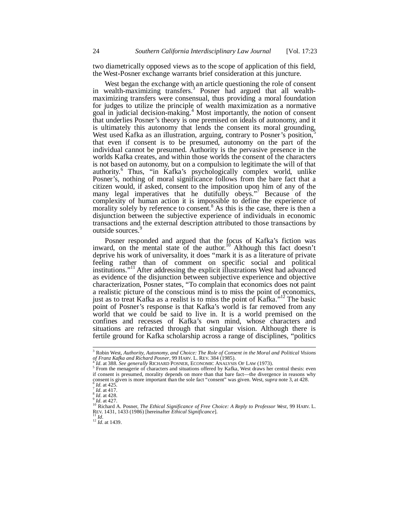two diametrically opposed views as to the scope of application of this field, the West-Posner exchange warrants brief consideration at this juncture.

West began the exchange with an article questioning the role of consent in wealth-maximizing transfers.<sup>3</sup> Posner had argued that all wealthmaximizing transfers were consensual, thus providing a moral foundation for judges to utilize the principle of wealth maximization as a normative goal in judicial decision-making.<sup>4</sup> Most importantly, the notion of consent that underlies Posner's theory is one premised on ideals of autonomy, and it is ultimately this autonomy that lends the consent its moral grounding. West used Kafka as an illustration, arguing, contrary to Posner's position,<sup>5</sup> that even if consent is to be presumed, autonomy on the part of the individual cannot be presumed. Authority is the pervasive presence in the worlds Kafka creates, and within those worlds the consent of the characters is not based on autonomy, but on a compulsion to legitimate the will of that authority.<sup>6</sup> Thus, "in Kafka's psychologically complex world, unlike Posner's, nothing of moral significance follows from the bare fact that a citizen would, if asked, consent to the imposition upon him of any of the many legal imperatives that he dutifully obeys."<sup>7</sup> Because of the complexity of human action it is impossible to define the experience of morality solely by reference to consent.<sup>8</sup> As this is the case, there is then a disjunction between the subjective experience of individuals in economic transactions and the external description attributed to those transactions by outside sources.<sup>9</sup>

Posner responded and argued that the focus of Kafka's fiction was inward, on the mental state of the author.<sup>10</sup> Although this fact doesn't deprive his work of universality, it does "mark it is as a literature of private feeling rather than of comment on specific social and political institutions."<sup>11</sup> After addressing the explicit illustrations West had advanced as evidence of the disjunction between subjective experience and objective characterization, Posner states, "To complain that economics does not paint a realistic picture of the conscious mind is to miss the point of economics, just as to treat Kafka as a realist is to miss the point of Kafka."<sup>12</sup> The basic point of Posner's response is that Kafka's world is far removed from any world that we could be said to live in. It is a world premised on the confines and recesses of Kafka's own mind, whose characters and situations are refracted through that singular vision. Although there is fertile ground for Kafka scholarship across a range of disciplines, "politics

<sup>12</sup> *Id*. at 1439.

<sup>3</sup> Robin West, *Authority, Autonomy, and Choice: The Role of Consent in the Moral and Political Visions of Franz Kafka and Richard Posner*, 99 HARV. L. REV. 384 (1985). 4

*Id*. at 388. *See generally* RICHARD POSNER, ECONOMIC ANALYSIS OF LAW (1973).

<sup>&</sup>lt;sup>5</sup> From the menagerie of characters and situations offered by Kafka, West draws her central thesis: even if consent is presumed, morality depends on more than that bare fact—the divergence in reasons why<br>consent is given is more important than the sole fact "consent" was given. West, *supra* note 3, at 428. *Id.* at 425.

 $\frac{7}{1}$ *Id.* at 417.

<sup>8</sup> *Id*. at 428.

<sup>9</sup> *Id*. at 427.

<sup>&</sup>lt;sup>10</sup> Richard A. Posner, *The Ethical Significance of Free Choice: A Reply to Professor West*, 99 HARV. L.<br>REV. 1431, 1433 (1986) [hereinafter *Ethical Significance*].<br><sup>11</sup> *Id*.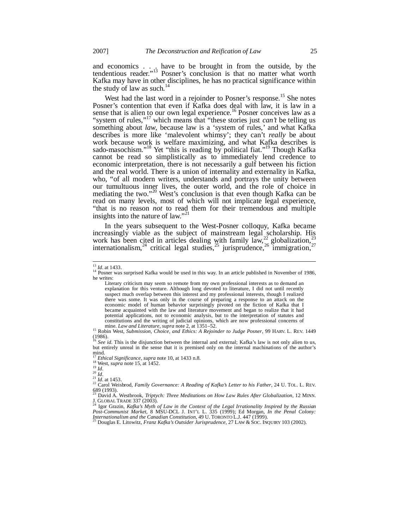and economics . . . have to be brought in from the outside, by the tendentious reader."<sup>13</sup> Posner's conclusion is that no matter what worth Kafka may have in other disciplines, he has no practical significance within the study of law as such. $^{14}$ 

West had the last word in a rejoinder to Posner's response.<sup>15</sup> She notes Posner's contention that even if Kafka does deal with law, it is law in a sense that is alien to our own legal experience.<sup>16</sup> Posner conceives law as a "system of rules,"<sup>17</sup> which means that "these stories just *can't* be telling us something about *law*, because law is a 'system of rules,' and what Kafka describes is more like 'malevolent whimsy'; they can't *really* be about work because work is welfare maximizing, and what Kafka describes is sado-masochism."<sup>18</sup> Yet "this is reading by political fiat."<sup>19</sup> Though Kafka cannot be read so simplistically as to immediately lend credence to economic interpretation, there is not necessarily a gulf between his fiction and the real world. There is a union of internality and externality in Kafka, who, "of all modern writers, understands and portrays the unity between our tumultuous inner lives, the outer world, and the role of choice in mediating the two."<sup>20</sup> West's conclusion is that even though Kafka can be read on many levels, most of which will not implicate legal experience, "that is no reason *not* to read them for their tremendous and multiple insights into the nature of law."

In the years subsequent to the West-Posner colloquy, Kafka became increasingly viable as the subject of mainstream legal scholarship. His work has been cited in articles dealing with family law,<sup>22</sup> globalization,<sup>23</sup> internationalism,  $^{24}$  critical legal studies,  $^{25}$  jurisprudence,  $^{26}$  immigration,  $^{27}$ 

<sup>15</sup> Robin West, *Submission, Choice, and Ethics: A Rejoinder to Judge Posner*, 99 HARV. L. REV. 1449  $(1986)$ .

See id. This is the disjunction between the internal and external; Kafka's law is not only alien to us, but entirely unreal in the sense that it is premised only on the internal machinations of the author's mind.

<sup>17</sup> *Ethical Significance*, *supra* note 10, at 1433 n.8. <sup>18</sup> West, *supra* note 15, at 1452.

<sup>13</sup> *Id*. at 1433.

<sup>&</sup>lt;sup>14</sup> Posner was surprised Kafka would be used in this way. In an article published in November of 1986, he writes:

Literary criticism may seem so remote from my own professional interests as to demand an explanation for this venture. Although long devoted to literature, I did not until recently suspect much overlap between this interest and my professional interests, though I realized there was some. It was only in the course of preparing a response to an attack on the economic model of human behavior surprisingly pivoted on the fiction of Kafka that I became acquainted with the law and literature movement and began to realize that it had potential applications, not to economic analysis, but to the interpretation of statutes and constitutions and the writing of judicial opinions, which are now professional concerns of mine. *Law and Literature*, *supra* note 2, at 1351–52.

<sup>19</sup> *Id*.

<sup>20</sup> *Id*. <sup>21</sup> *Id*. at 1453.

<sup>&</sup>lt;sup>22</sup> Carol Weisbrod, *Family Governance: A Reading of Kafka's Letter to his Father*, 24 U. TOL. L. REV.

<sup>689 (1993).</sup> <sup>23</sup> David A. Westbrook, *Triptych: Three Meditations on How Law Rules After Globalization*, 12 MINN. J. GLOBAL TRADE 337 (2003).

<sup>&</sup>lt;sup>24</sup> Igor Grazin, *Kafka's Myth of Law in the Context of the Legal Irrationality Inspired by the Russian Post-Communist Market, 8 MSU-DCL J. INT'L L. 335 (1999); Ed Morgan, <i>In the Penal Colony:*<br>*Internationalism and the*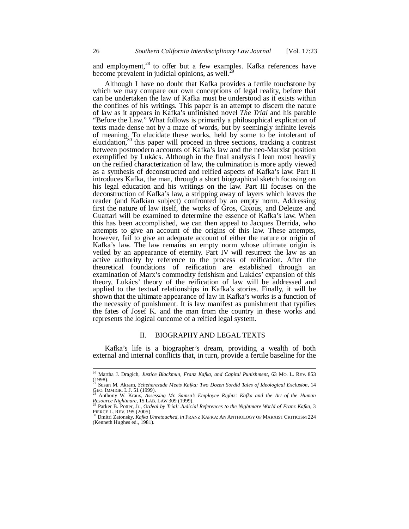and employment,<sup>28</sup> to offer but a few examples. Kafka references have become prevalent in judicial opinions, as well.<sup>2</sup>

Although I have no doubt that Kafka provides a fertile touchstone by which we may compare our own conceptions of legal reality, before that can be undertaken the law of Kafka must be understood as it exists within the confines of his writings. This paper is an attempt to discern the nature of law as it appears in Kafka's unfinished novel *The Trial* and his parable "Before the Law." What follows is primarily a philosophical explication of texts made dense not by a maze of words, but by seemingly infinite levels of meaning. To elucidate these works, held by some to be intolerant of elucidation, $30$  this paper will proceed in three sections, tracking a contrast between postmodern accounts of Kafka's law and the neo-Marxist position exemplified by Lukács. Although in the final analysis I lean most heavily on the reified characterization of law, the culmination is more aptly viewed as a synthesis of deconstructed and reified aspects of Kafka's law. Part II introduces Kafka, the man, through a short biographical sketch focusing on his legal education and his writings on the law. Part III focuses on the deconstruction of Kafka's law, a stripping away of layers which leaves the reader (and Kafkian subject) confronted by an empty norm. Addressing first the nature of law itself, the works of Gros, Cixous, and Deleuze and Guattari will be examined to determine the essence of Kafka's law. When this has been accomplished, we can then appeal to Jacques Derrida, who attempts to give an account of the origins of this law. These attempts, however, fail to give an adequate account of either the nature or origin of Kafka's law. The law remains an empty norm whose ultimate origin is veiled by an appearance of eternity. Part IV will resurrect the law as an active authority by reference to the process of reification. After the theoretical foundations of reification are established through an examination of Marx's commodity fetishism and Lukács' expansion of this theory, Lukács' theory of the reification of law will be addressed and applied to the textual relationships in Kafka's stories. Finally, it will be shown that the ultimate appearance of law in Kafka's works is a function of the necessity of punishment. It is law manifest as punishment that typifies the fates of Josef K. and the man from the country in these works and represents the logical outcome of a reified legal system.

# II. BIOGRAPHY AND LEGAL TEXTS

Kafka's life is a biographer's dream, providing a wealth of both external and internal conflicts that, in turn, provide a fertile baseline for the

<sup>26</sup> Martha J. Dragich, *Justice Blackmun, Franz Kafka, and Capital Punishment*, 63 MO. L. REV. 853  $(1998)$ .

<sup>27</sup> Susan M. Akram, *Scheherezade Meets Kafka: Two Dozen Sordid Tales of Ideological Exclusion*, 14

GEO. IMMIGR. L.J. 51 (1999). <sup>28</sup> Anthony W. Kraus, *Assessing Mr. Samsa's Employee Rights: Kafka and the Art of the Human Resource Nightmare*, 15 LAB. LAW 309 (1999).

<sup>&</sup>lt;sup>29</sup> Parker B. Potter, Jr., *Ordeal by Trial: Judicial References to the Nightmare World of Franz Kafka, 3*<br>PIERCE L. REV. 195 (2005).<br><sup>30</sup> Dmitri Zatonsky, *Kafka Unretouched, in* FRANZ KAFKA: AN ANTHOLOGY OF MARXIST CRIT

<sup>(</sup>Kenneth Hughes ed., 1981).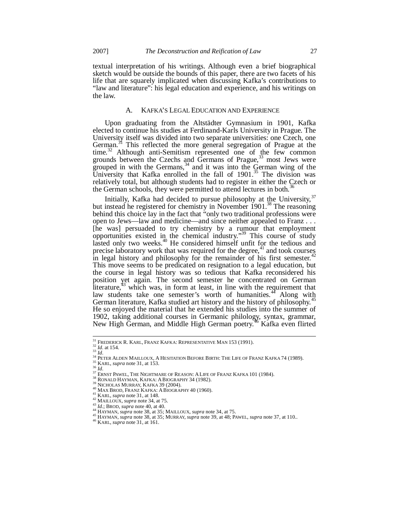textual interpretation of his writings. Although even a brief biographical sketch would be outside the bounds of this paper, there are two facets of his life that are squarely implicated when discussing Kafka's contributions to "law and literature": his legal education and experience, and his writings on the law.

# A. KAFKA'S LEGAL EDUCATION AND EXPERIENCE

Upon graduating from the Altstädter Gymnasium in 1901, Kafka elected to continue his studies at Ferdinand-Karls University in Prague. The University itself was divided into two separate universities: one Czech, one German.<sup>31</sup> This reflected the more general segregation of Prague at the time.<sup>32</sup> Although anti-Semitism represented one of the few common grounds between the Czechs and Germans of Prague,<sup>33</sup> most Jews were grouped in with the Germans,  $34$  and it was into the German wing of the University that Kafka enrolled in the fall of  $1901$ .<sup>35</sup> The division was relatively total, but although students had to register in either the Czech or the German schools, they were permitted to attend lectures in both.<sup>3</sup>

Initially, Kafka had decided to pursue philosophy at the University,  $37$ but instead he registered for chemistry in November  $1901$ .<sup>38</sup> The reasoning behind this choice lay in the fact that "only two traditional professions were open to Jews—law and medicine—and since neither appealed to Franz . . . [he was] persuaded to try chemistry by a rumour that employment opportunities existed in the chemical industry."<sup>39</sup> This course of study lasted only two weeks.<sup>40</sup> He considered himself unfit for the tedious and precise laboratory work that was required for the degree, $41$  and took courses in legal history and philosophy for the remainder of his first semester.<sup>4</sup> This move seems to be predicated on resignation to a legal education, but the course in legal history was so tedious that Kafka reconsidered his position yet again. The second semester he concentrated on German literature, $43$  which was, in form at least, in line with the requirement that law students take one semester's worth of humanities.<sup>44</sup> Along with German literature, Kafka studied art history and the history of philosophy.<sup>45</sup> He so enjoyed the material that he extended his studies into the summer of 1902, taking additional courses in Germanic philology, syntax, grammar, New High German, and Middle High German poetry.<sup>46</sup> Kafka even flirted

<sup>31</sup> FREDERICK R. KARL, FRANZ KAFKA: REPRESENTATIVE MAN 153 (1991).

 $32 \frac{1}{10}$ . at 154. <sup>33</sup> *Id*.

<sup>&</sup>lt;sup>41</sup> PETER ALDEN MAILLOUX, A HESITATION BEFORE BIRTH: THE LIFE OF FRANZ KAFKA 74 (1989).

<sup>35</sup> KARL, *supra* note 31, at 153.

<sup>36</sup> *Id*.

<sup>&</sup>lt;sup>37</sup> ERNST PAWEL, THE NIGHTMARE OF REASON: A LIFE OF FRANZ KAFKA 101 (1984).

 $38$  RONALD HAYMAN, KAFKA: A BIOGRAPHY 34 (1982).

<sup>39</sup> NICHOLAS MURRAY, KAFKA 39 (2004).

<sup>40</sup> MAX BROD, FRANZ KAFKA: ABIOGRAPHY 40 (1960).

<sup>41</sup> KARL, *supra* note 31, at 148.

<sup>42</sup> MAILLOUX, *supra* note 34, at 75.

<sup>43</sup> *Id*.; BROD, *supra* note 40, at 40. <sup>44</sup> HAYMAN, *supra* note 38, at 35; MAILLOUX, *supra* note 34, at 75.

<sup>45</sup> HAYMAN, *supra* note 38, at 35; MURRAY, *supra* note 39, at 48; PAWEL, *supra* note 37, at 110..

<sup>46</sup> KARL, *supra* note 31, at 161.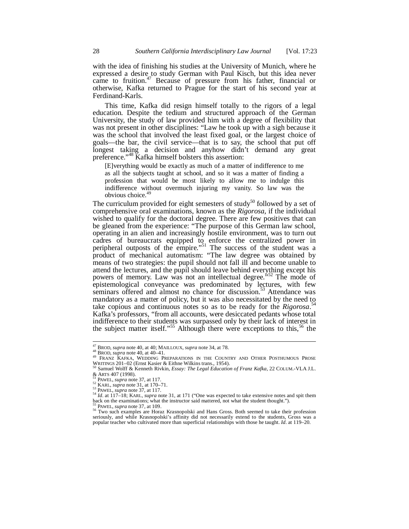with the idea of finishing his studies at the University of Munich, where he expressed a desire to study German with Paul Kisch, but this idea never came to fruition.<sup>47</sup> Because of pressure from his father, financial or otherwise, Kafka returned to Prague for the start of his second year at Ferdinand-Karls.

This time, Kafka did resign himself totally to the rigors of a legal education. Despite the tedium and structured approach of the German University, the study of law provided him with a degree of flexibility that was not present in other disciplines: "Law he took up with a sigh because it was the school that involved the least fixed goal, or the largest choice of goals—the bar, the civil service—that is to say, the school that put off longest taking a decision and anyhow didn't demand any great preference."<sup>48</sup> Kafka himself bolsters this assertion:

[E]verything would be exactly as much of a matter of indifference to me as all the subjects taught at school, and so it was a matter of finding a profession that would be most likely to allow me to indulge this indifference without overmuch injuring my vanity. So law was the obvious choice.<sup>49</sup>

The curriculum provided for eight semesters of study<sup>50</sup> followed by a set of comprehensive oral examinations, known as the *Rigorosa*, if the individual wished to qualify for the doctoral degree. There are few positives that can be gleaned from the experience: "The purpose of this German law school, operating in an alien and increasingly hostile environment, was to turn out cadres of bureaucrats equipped to enforce the centralized power in peripheral outposts of the empire."<sup>51</sup> The success of the student was a product of mechanical automatism: "The law degree was obtained by means of two strategies: the pupil should not fall ill and become unable to attend the lectures, and the pupil should leave behind everything except his powers of memory. Law was not an intellectual degree.<sup>552</sup> The mode of epistemological conveyance was predominated by lectures, with few seminars offered and almost no chance for discussion.<sup>53</sup> Attendance was mandatory as a matter of policy, but it was also necessitated by the need to take copious and continuous notes so as to be ready for the *Rigorosa*. 54 Kafka's professors, "from all accounts, were desiccated pedants whose total indifference to their students was surpassed only by their lack of interest in the subject matter itself."<sup>55</sup> Although there were exceptions to this,<sup>56</sup> the

<sup>47</sup> BROD, *supra* note 40, at 40; MAILLOUX, *supra* note 34, at 78.

<sup>48</sup> BROD, *supra* note 40, at 40–41.

<sup>&</sup>lt;sup>49</sup> FRANZ KAFKA, WEDDING PREPARATIONS IN THE COUNTRY AND OTHER POSTHUMOUS PROSE WRITINGS 201–02 (Ernst Kasier & Eithne Wilkins trans., 1954). <sup>50</sup> Samuel Wolff & Kenneth Rivkin, *Essay: The Legal Education of Franz Kafka*, 22 COLUM.-VLA J.L.

<sup>&</sup>amp; ARTS 407 (1998). <sup>51</sup> PAWEL, *supra* note 37, at 117.

<sup>52</sup> KARL, *supra* note 31, at 170–71. <sup>53</sup> PAWEL, *supra* note 37, at 117.

<sup>&</sup>lt;sup>54</sup> *Id.* at 117–18; KARL, *supra* note 31, at 171 ("One was expected to take extensive notes and spit them back on the examinations; what the instructor said mattered, not what the student thought.").

<sup>&</sup>lt;sup>55</sup> PAWEL, *supra* note 37, at 109.<br><sup>56</sup> Two such examples are Horaz Krasnopolski and Hans Gross. Both seemed to take their profession seriously, and while Krasnopolski's affinity did not necessarily extend to the students, Gross was a popular teacher who cultivated more than superficial relationships with those he taught. *Id*. at 119–20.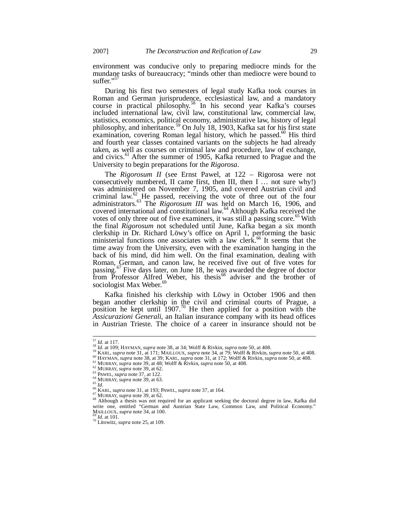environment was conducive only to preparing mediocre minds for the mundane tasks of bureaucracy; "minds other than mediocre were bound to suffer."<sup>57</sup>

During his first two semesters of legal study Kafka took courses in Roman and German jurisprudence, ecclesiastical law, and a mandatory course in practical philosophy.<sup>58</sup> In his second year Kafka's courses included international law, civil law, constitutional law, commercial law, statistics, economics, political economy, administrative law, history of legal philosophy, and inheritance.<sup>59</sup> On July 18, 1903, Kafka sat for his first state examination, covering Roman legal history, which he passed.<sup>60</sup> His third and fourth year classes contained variants on the subjects he had already taken, as well as courses on criminal law and procedure, law of exchange, and civics. $^{61}$  After the summer of 1905, Kafka returned to Prague and the University to begin preparations for the *Rigorosa*.

The *Rigorosum II* (see Ernst Pawel, at 122 – Rigorosa were not consecutively numbered, II came first, then III, then I … not sure why!) was administered on November 7, 1905, and covered Austrian civil and criminal law. $^{62}$  He passed, receiving the vote of three out of the four administrators.<sup>63</sup> The *Rigorosum III* was held on March 16, 1906, and covered international and constitutional law.<sup>64</sup> Although Kafka received the votes of only three out of five examiners, it was still a passing score.<sup>65</sup> With the final *Rigorosum* not scheduled until June, Kafka began a six month clerkship in Dr. Richard Löwy's office on April 1, performing the basic ministerial functions one associates with a law clerk.<sup>66</sup> It seems that the time away from the University, even with the examination hanging in the back of his mind, did him well. On the final examination, dealing with Roman, German, and canon law, he received five out of five votes for passing.<sup>67</sup> Five days later, on June 18, he was awarded the degree of doctor from Professor Alfred Weber, his thesis<sup>68</sup> adviser and the brother of sociologist Max Weber.<sup>69</sup>

Kafka finished his clerkship with Löwy in October 1906 and then began another clerkship in the civil and criminal courts of Prague, a position he kept until  $1907<sup>70</sup>$  He then applied for a position with the *Assicurazioni Generali*, an Italian insurance company with its head offices in Austrian Trieste. The choice of a career in insurance should not be

- <sup>59</sup> KARL, *supra* note 31, at 171; MAILLOUX, *supra* note 34, at 79; Wolff & Rivkin, *supra* note 50, at 408.
- <sup>60</sup> HAYMAN, *supra* note 38, at 39; KARL, *supra* note 31, at 172; Wolff & Rivkin, *supra* note 50, at 408.
- <sup>61</sup> MURRAY, *supra* note 39, at 48; Wolff & Rivkin, *supra* note 50, at 408.

<sup>57</sup> *Id*. at 117. <sup>58</sup> *Id*. at 109; HAYMAN, *supra* note 38, at 34; Wolff & Rivkin, *supra* note 50, at 408.

<sup>62</sup> MURRAY, *supra* note 39, at 62.

<sup>63</sup> PAWEL, *supra* note 37, at 122. <sup>64</sup> MURRAY, *supra* note 39, at 63.

<sup>65</sup> *Id*.

<sup>66</sup> KARL, *supra* note 31, at 193; PAWEL, *supra* note 37, at 164. <sup>67</sup> MURRAY, *supra* note 39, at 62.

<sup>&</sup>lt;sup>68</sup> Although a thesis was not required for an applicant seeking the doctoral degree in law, Kafka did write one, entitled "German and Austrian State Law, Common Law, and Political Economy." MAILLOUX, *supra* note 34, at 100.

*<sup>69</sup> Id.* at 101.

<sup>70</sup> Litowitz, *supra* note 25, at 109.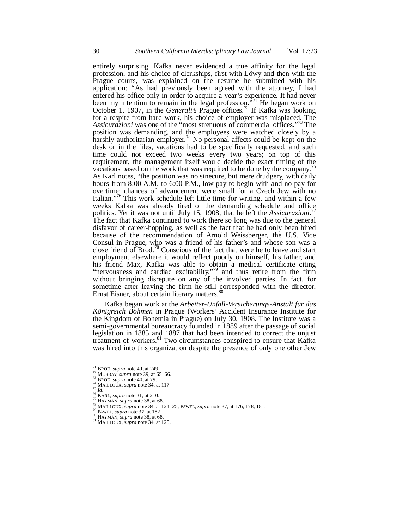entirely surprising. Kafka never evidenced a true affinity for the legal profession, and his choice of clerkships, first with Löwy and then with the Prague courts, was explained on the resume he submitted with his application: "As had previously been agreed with the attorney, I had entered his office only in order to acquire a year's experience. It had never been my intention to remain in the legal profession.<sup> $\cdot$ 71</sup> He began work on October 1, 1907, in the *Generali's* Prague offices.<sup>72</sup> If Kafka was looking for a respite from hard work, his choice of employer was misplaced. The *Assicurazioni* was one of the "most strenuous of commercial offices."<sup>73</sup> The position was demanding, and the employees were watched closely by a harshly authoritarian employer.<sup>74</sup> No personal affects could be kept on the desk or in the files, vacations had to be specifically requested, and such time could not exceed two weeks every two years; on top of this requirement, the management itself would decide the exact timing of the vacations based on the work that was required to be done by the company.<sup>7</sup> As Karl notes, "the position was no sinecure, but mere drudgery, with daily hours from 8:00 A.M. to 6:00 P.M., low pay to begin with and no pay for overtime; chances of advancement were small for a Czech Jew with no Italian."<sup>76</sup> This work schedule left little time for writing, and within a few weeks Kafka was already tired of the demanding schedule and office politics. Yet it was not until July 15, 1908, that he left the *Assicurazioni*. 77 The fact that Kafka continued to work there so long was due to the general disfavor of career-hopping, as well as the fact that he had only been hired because of the recommendation of Arnold Weissberger, the U.S. Vice Consul in Prague, who was a friend of his father's and whose son was a close friend of Brod.<sup>78</sup> Conscious of the fact that were he to leave and start employment elsewhere it would reflect poorly on himself, his father, and his friend Max, Kafka was able to obtain a medical certificate citing "nervousness and cardiac excitability,"<sup>79</sup> and thus retire from the firm without bringing disrepute on any of the involved parties. In fact, for sometime after leaving the firm he still corresponded with the director, Ernst Eisner, about certain literary matters.<sup>8</sup>

Kafka began work at the *Arbeiter-Unfall-Versicherungs-Anstalt für das Königreich Böhmen* in Prague (Workers' Accident Insurance Institute for the Kingdom of Bohemia in Prague) on July 30, 1908. The Institute was a semi-governmental bureaucracy founded in 1889 after the passage of social legislation in 1885 and 1887 that had been intended to correct the unjust treatment of workers.<sup>81</sup> Two circumstances conspired to ensure that Kafka was hired into this organization despite the presence of only one other Jew

<sup>71</sup> BROD, *supra* note 40, at 249.

<sup>72</sup> MURRAY, *supra* note 39, at 65–66. <sup>73</sup> BROD, *supra* note 40, at 79.

MAILLOUX, *supra* note 34, at 117.

<sup>75</sup> *Id*.

<sup>76</sup> KARL, *supra* note 31, at 210. <sup>77</sup> HAYMAN, *supra* note 38, at 68.

<sup>78</sup> MAILLOUX, *supra* note 34, at 124–25; PAWEL, *supra* note 37, at 176, 178, 181.

<sup>79</sup> PAWEL, *supra* note 37, at 182.

<sup>80</sup> HAYMAN, *supra* note 38, at 68.

<sup>81</sup> MAILLOUX, *supra* note 34, at 125.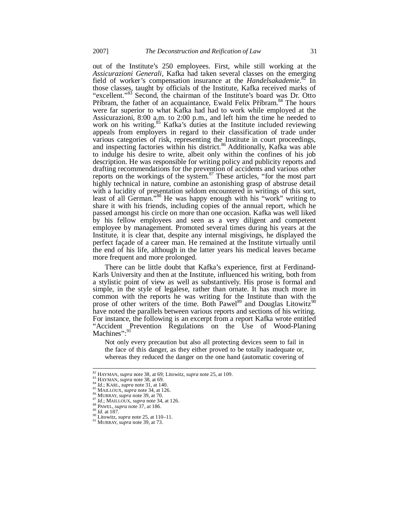out of the Institute's 250 employees. First, while still working at the *Assicurazioni Generali*, Kafka had taken several classes on the emerging field of worker's compensation insurance at the *Handelsakademie*. <sup>82</sup> In those classes, taught by officials of the Institute, Kafka received marks of "excellent."<sup>83</sup> Second, the chairman of the Institute's board was Dr. Otto Příbram, the father of an acquaintance, Ewald Felix Příbram.<sup>84</sup> The hours were far superior to what Kafka had had to work while employed at the Assicurazioni, 8:00 a.m. to 2:00 p.m., and left him the time he needed to work on his writing.<sup>85</sup> Kafka's duties at the Institute included reviewing appeals from employers in regard to their classification of trade under various categories of risk, representing the Institute in court proceedings, and inspecting factories within his district.<sup>86</sup> Additionally, Kafka was able to indulge his desire to write, albeit only within the confines of his job description. He was responsible for writing policy and publicity reports and drafting recommendations for the prevention of accidents and various other reports on the workings of the system. $87$  These articles, "for the most part highly technical in nature, combine an astonishing grasp of abstruse detail with a lucidity of presentation seldom encountered in writings of this sort, least of all German."<sup>88</sup> He was happy enough with his "work" writing to share it with his friends, including copies of the annual report, which he passed amongst his circle on more than one occasion. Kafka was well liked by his fellow employees and seen as a very diligent and competent employee by management. Promoted several times during his years at the Institute, it is clear that, despite any internal misgivings, he displayed the perfect façade of a career man. He remained at the Institute virtually until the end of his life, although in the latter years his medical leaves became more frequent and more prolonged.

There can be little doubt that Kafka's experience, first at Ferdinand-Karls University and then at the Institute, influenced his writing, both from a stylistic point of view as well as substantively. His prose is formal and simple, in the style of legalese, rather than ornate. It has much more in common with the reports he was writing for the Institute than with the prose of other writers of the time. Both Pawel<sup>89</sup> and Douglas Litowitz<sup>90</sup> have noted the parallels between various reports and sections of his writing. For instance, the following is an excerpt from a report Kafka wrote entitled "Accident Prevention Regulations on the Use of Wood-Planing Machines":<sup>91</sup>

Not only every precaution but also all protecting devices seem to fail in the face of this danger, as they either proved to be totally inadequate or, whereas they reduced the danger on the one hand (automatic covering of

<sup>82</sup> HAYMAN, *supra* note 38, at 69; Litowitz, *supra* note 25, at 109. <sup>83</sup> HAYMAN, *supra* note 38, at 69.

<sup>84</sup> *Id*.; KARL, *supra* note 31, at 140.

<sup>85</sup> MAILLOUX, *supra* note 34, at 126. <sup>86</sup> MURRAY, *supra* note 39, at 70.

<sup>87</sup> *Id*.; MAILLOUX, *supra* note 34, at 126.

<sup>88</sup> PAWEL, *supra* note 37, at 186. <sup>89</sup> *Id*. at 187.

<sup>90</sup> Litowitz, *supra* note 25, at 110–11.

<sup>91</sup> MURRAY, *supra* note 39, at 73.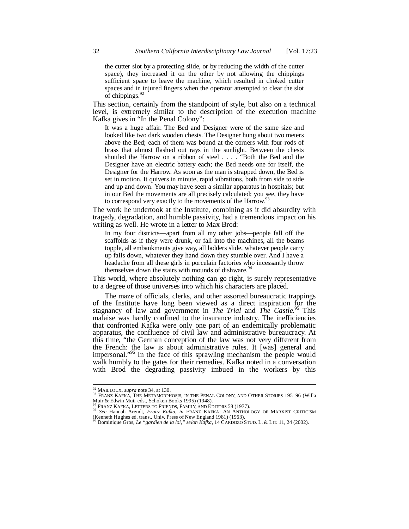the cutter slot by a protecting slide, or by reducing the width of the cutter space), they increased it on the other by not allowing the chippings sufficient space to leave the machine, which resulted in choked cutter spaces and in injured fingers when the operator attempted to clear the slot of chippings.<sup>9</sup>

This section, certainly from the standpoint of style, but also on a technical level, is extremely similar to the description of the execution machine Kafka gives in "In the Penal Colony":

It was a huge affair. The Bed and Designer were of the same size and looked like two dark wooden chests. The Designer hung about two meters above the Bed; each of them was bound at the corners with four rods of brass that almost flashed out rays in the sunlight. Between the chests shuttled the Harrow on a ribbon of steel . . . . "Both the Bed and the Designer have an electric battery each; the Bed needs one for itself, the Designer for the Harrow. As soon as the man is strapped down, the Bed is set in motion. It quivers in minute, rapid vibrations, both from side to side and up and down. You may have seen a similar apparatus in hospitals; but in our Bed the movements are all precisely calculated; you see, they have to correspond very exactly to the movements of the Harrow.<sup>9</sup>

The work he undertook at the Institute, combining as it did absurdity with tragedy, degradation, and humble passivity, had a tremendous impact on his writing as well. He wrote in a letter to Max Brod:

In my four districts—apart from all my other jobs—people fall off the scaffolds as if they were drunk, or fall into the machines, all the beams topple, all embankments give way, all ladders slide, whatever people carry up falls down, whatever they hand down they stumble over. And I have a headache from all these girls in porcelain factories who incessantly throw themselves down the stairs with mounds of dishware. $94$ 

This world, where absolutely nothing can go right, is surely representative to a degree of those universes into which his characters are placed.

The maze of officials, clerks, and other assorted bureaucratic trappings of the Institute have long been viewed as a direct inspiration for the stagnancy of law and government in *The Trial* and *The Castle*. <sup>95</sup> This malaise was hardly confined to the insurance industry. The inefficiencies that confronted Kafka were only one part of an endemically problematic apparatus, the confluence of civil law and administrative bureaucracy. At this time, "the German conception of the law was not very different from the French: the law is about administrative rules. It [was] general and impersonal."<sup>96</sup> In the face of this sprawling mechanism the people would walk humbly to the gates for their remedies. Kafka noted in a conversation with Brod the degrading passivity imbued in the workers by this

<sup>&</sup>lt;sup>92</sup> MAILLOUX, *supra* note 34, at 130.<br><sup>93</sup> Franz Kafka, The Metamorphosis, in the Penal Colony, and Other Stories 195–96 (Willa Muir & Edwin Muir eds., Schoken Books 1995) (1948).

<sup>&</sup>lt;sup>94</sup> Franz Kafka, Letters to Friends, Family, and Éditors 58 (1977).<br><sup>95</sup> *See* Hannah Arendt, *Franz Kafka, in* Franz Kafka: An Anthology of Marxist Criticism (Kenneth Hughes ed. trans., Univ. Press of New England 1981) (1963).

<sup>96</sup> Dominique Gros, *Le "gardien de la loi," selon Kafka*, 14 CARDOZO STUD. L. & LIT. 11, 24 (2002).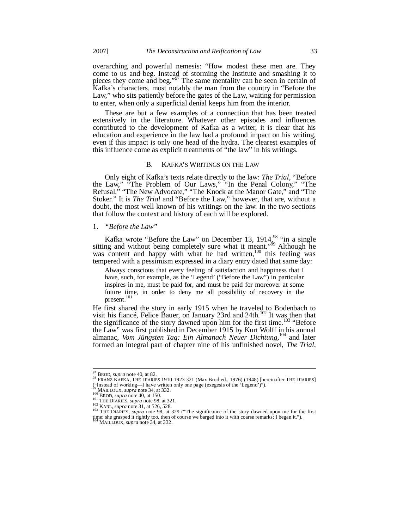overarching and powerful nemesis: "How modest these men are. They come to us and beg. Instead of storming the Institute and smashing it to pieces they come and beg."<sup>97</sup> The same mentality can be seen in certain of Kafka's characters, most notably the man from the country in "Before the Law," who sits patiently before the gates of the Law, waiting for permission to enter, when only a superficial denial keeps him from the interior.

These are but a few examples of a connection that has been treated extensively in the literature. Whatever other episodes and influences contributed to the development of Kafka as a writer, it is clear that his education and experience in the law had a profound impact on his writing, even if this impact is only one head of the hydra. The clearest examples of this influence come as explicit treatments of "the law" in his writings.

#### B. KAFKA'S WRITINGS ON THE LAW

Only eight of Kafka's texts relate directly to the law: *The Trial*, "Before the Law," "The Problem of Our Laws," "In the Penal Colony," "The Refusal," "The New Advocate," "The Knock at the Manor Gate," and "The Stoker." It is *The Trial* and "Before the Law," however, that are, without a doubt, the most well known of his writings on the law. In the two sections that follow the context and history of each will be explored.

## 1. *"Before the Law"*

Kafka wrote "Before the Law" on December 13, 1914 $^{98}_{3}$  "in a single sitting and without being completely sure what it meant."<sup>99</sup> Although he was content and happy with what he had written,<sup>100</sup> this feeling was tempered with a pessimism expressed in a diary entry dated that same day:

Always conscious that every feeling of satisfaction and happiness that I have, such, for example, as the 'Legend' ("Before the Law") in particular inspires in me, must be paid for, and must be paid for moreover at some future time, in order to deny me all possibility of recovery in the present.<sup>101</sup>

He first shared the story in early 1915 when he traveled to Bodenbach to visit his fiancé, Felice Bauer, on January 23rd and 24th.<sup>102</sup> It was then that the significance of the story dawned upon him for the first time.<sup>103</sup> "Before the Law" was first published in December 1915 by Kurt Wolff in his annual almanac, *Vom Jüngsten Tag: Ein Almanach Neuer Dichtung*,<sup>104</sup> and later almanac, Vom Jüngsten Tag: Ein Almanach Neuer Dichtung,<sup>1</sup> formed an integral part of chapter nine of his unfinished novel, *The Trial*,

<sup>97</sup> BROD, *supra* note 40, at 82.

 $\frac{98}{28}$  FRANZ KAFKA, THE DIARIES 1910-1923 321 (Max Brod ed., 1976) (1948) [hereinafter THE DIARIES] ("Instead of working—I have written only one page (exegesis of the 'Legend')").

<sup>&</sup>lt;sup>99</sup> MAILLOUX, *supra* note 34, at 332.<br><sup>100</sup> BROD, *supra* note 40, at 150.

<sup>101</sup> **THE DIARIES**, *supra* note 98, at 321.

<sup>102</sup> KARL, *supra* note 31, at 526, 528. <sup>103</sup> THE DIARIES, *supra* note 98, at 329 ("The significance of the story dawned upon me for the first time; she grasped it rightly too, then of course we barged into it with coarse remarks; I began it."). <sup>104</sup> MAILLOUX, *supra* note 34, at 332.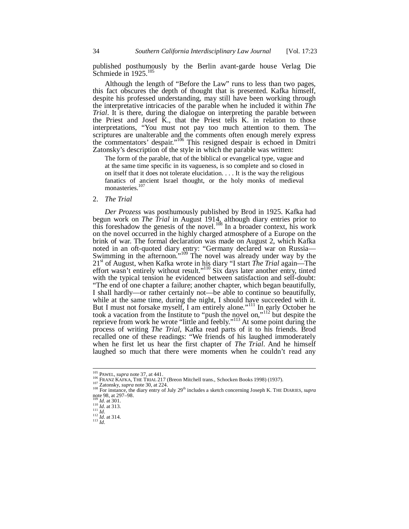published posthumously by the Berlin avant-garde house Verlag Die Schmiede in 1925.<sup>105</sup>

Although the length of "Before the Law" runs to less than two pages, this fact obscures the depth of thought that is presented. Kafka himself, despite his professed understanding, may still have been working through the interpretative intricacies of the parable when he included it within *The Trial*. It is there, during the dialogue on interpreting the parable between the Priest and Josef K., that the Priest tells K. in relation to those interpretations, "You must not pay too much attention to them. The scriptures are unalterable and the comments often enough merely express the commentators' despair."<sup>106</sup> This resigned despair is echoed in Dmitri Zatonsky's description of the style in which the parable was written:

The form of the parable, that of the biblical or evangelical type, vague and at the same time specific in its vagueness, is so complete and so closed in on itself that it does not tolerate elucidation. . . . It is the way the religious fanatics of ancient Israel thought, or the holy monks of medieval monasteries.<sup>1</sup>

#### 2. *The Trial*

*Der Prozess* was posthumously published by Brod in 1925. Kafka had begun work on *The Trial* in August 1914, although diary entries prior to this foreshadow the genesis of the novel.<sup>108</sup> In a broader context, his work on the novel occurred in the highly charged atmosphere of a Europe on the brink of war. The formal declaration was made on August 2, which Kafka noted in an oft-quoted diary entry: "Germany declared war on Russia— Swimming in the afternoon."<sup>109</sup> The novel was already under way by the 21st of August, when Kafka wrote in his diary "I start *The Trial* again—The effort wasn't entirely without result."<sup>110</sup> Six days later another entry, tinted with the typical tension he evidenced between satisfaction and self-doubt: "The end of one chapter a failure; another chapter, which began beautifully, I shall hardly—or rather certainly not—be able to continue so beautifully, while at the same time, during the night, I should have succeeded with it. But I must not forsake myself, I am entirely alone."<sup>111</sup> In early October he took a vacation from the Institute to "push the novel on,"<sup>112</sup> but despite the reprieve from work he wrote "little and feebly."<sup>113</sup> At some point during the process of writing *The Trial*, Kafka read parts of it to his friends. Brod recalled one of these readings: "We friends of his laughed immoderately when he first let us hear the first chapter of *The Trial*. And he himself laughed so much that there were moments when he couldn't read any

<sup>105</sup> PAWEL, *supra* note 37, at 441.

<sup>106</sup> FRANZ KAFKA, THE TRIAL 217 (Breon Mitchell trans., Schocken Books 1998) (1937).

<sup>107</sup> Zatonsky, *supra* note 30, at 224.

<sup>&</sup>lt;sup>108</sup> For instance, the diary entry of July 29<sup>th</sup> includes a sketch concerning Joseph K. THE DIARIES, *supra* note 98, at 297–98. <sup>109</sup> *Id*. at 301.

<sup>110</sup> *Id*. at 313.  $\prod_{111}^{111}$  *Id*.

<sup>112</sup> *Id*. at 314.

<sup>113</sup> *Id*.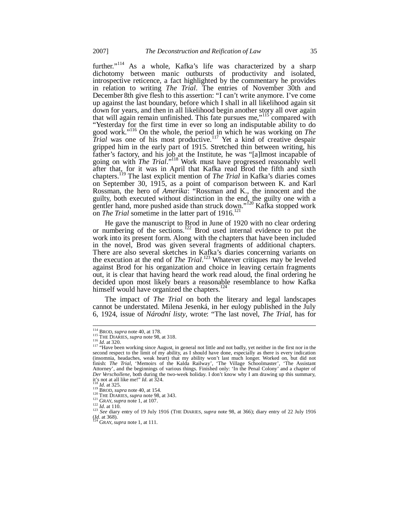further."<sup>114</sup> As a whole, Kafka's life was characterized by a sharp dichotomy between manic outbursts of productivity and isolated, introspective reticence, a fact highlighted by the commentary he provides in relation to writing *The Trial*. The entries of November 30th and December 8th give flesh to this assertion: "I can't write anymore. I've come up against the last boundary, before which I shall in all likelihood again sit down for years, and then in all likelihood begin another story all over again that will again remain unfinished. This fate pursues me,"<sup>115</sup> compared with "Yesterday for the first time in ever so long an indisputable ability to do good work."<sup>116</sup> On the whole, the period in which he was working on *The Trial* was one of his most productive.<sup>117</sup> Yet a kind of creative despair gripped him in the early part of 1915. Stretched thin between writing, his father's factory, and his job at the Institute, he was "[a]lmost incapable of going on with *The Trial*."<sup>118</sup> Work must have progressed reasonably well after that, for it was in April that Kafka read Brod the fifth and sixth chapters.<sup>119</sup> The last explicit mention of *The Trial* in Kafka's diaries comes on September 30, 1915, as a point of comparison between K. and Karl Rossman, the hero of *Amerika*: "Rossman and K., the innocent and the guilty, both executed without distinction in the end, the guilty one with a gentler hand, more pushed aside than struck down."<sup>120</sup> Kafka stopped work on *The Trial* sometime in the latter part of 1916.<sup>121</sup>

He gave the manuscript to Brod in June of 1920 with no clear ordering or numbering of the sections.<sup>122</sup> Brod used internal evidence to put the work into its present form. Along with the chapters that have been included in the novel, Brod was given several fragments of additional chapters. There are also several sketches in Kafka's diaries concerning variants on the execution at the end of *The Trial*. <sup>123</sup> Whatever critiques may be leveled against Brod for his organization and choice in leaving certain fragments out, it is clear that having heard the work read aloud, the final ordering he decided upon most likely bears a reasonable resemblance to how Kafka himself would have organized the chapters.<sup>124</sup>

The impact of *The Trial* on both the literary and legal landscapes cannot be understated. Milena Jesenká, in her eulogy published in the July 6, 1924, issue of *Národní listy*, wrote: "The last novel, *The Trial*, has for

<sup>114</sup> BROD, *supra* note 40, at 178. <sup>115</sup> THE DIARIES, *supra* note 98, at 318.

<sup>&</sup>lt;sup>116</sup> *Id.* at 320.<br><sup>117</sup> "Have been working since August, in general not little and not badly, yet neither in the first nor in the second respect to the limit of my ability, as I should have done, especially as there is (insomnia, headaches, weak heart) that my ability won't last much longer. Worked on, but did not<br>finish: *The Trial*, 'Memoirs of the Kalda Railway', 'The Village Schoolmaster', 'The Assistant<br>Attorney', and the beginnings *Der Verschollene*, both during the two-week holiday. I don't know why I am drawing up this summary, it's not at all like me!" *Id*. at 324. <sup>118</sup> *Id*. at 325.

<sup>119</sup> BROD, *supra* note 40, at 154. <sup>120</sup> THE DIARIES, *supra* note 98, at 343.

<sup>&</sup>lt;sup>121</sup> GRAY, *supra* note 1, at 107.

<sup>122</sup> *Id*. at 110. <sup>123</sup> *See* diary entry of 19 July 1916 (THE DIARIES, *supra* note 98, at 366); diary entry of 22 July 1916 (*Id*. at 368). *(Id.* at 368).<br><sup>124</sup> GRAY, *supra* note 1, at 111.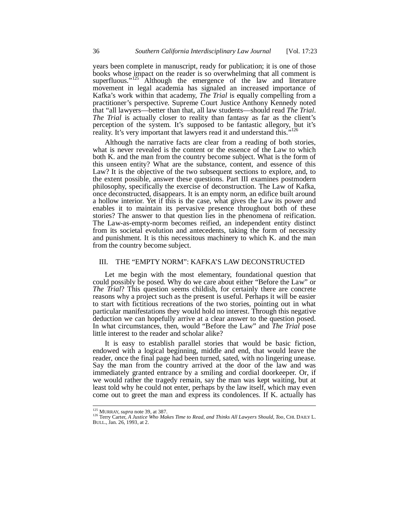years been complete in manuscript, ready for publication; it is one of those books whose impact on the reader is so overwhelming that all comment is superfluous."<sup>125</sup> Although the emergence of the law and literature movement in legal academia has signaled an increased importance of Kafka's work within that academy, *The Trial* is equally compelling from a practitioner's perspective. Supreme Court Justice Anthony Kennedy noted that "all lawyers—better than that, all law students—should read *The Trial*. *The Trial* is actually closer to reality than fantasy as far as the client's perception of the system. It's supposed to be fantastic allegory, but it's reality. It's very important that lawyers read it and understand this."<sup>12</sup>

Although the narrative facts are clear from a reading of both stories, what is never revealed is the content or the essence of the Law to which both K. and the man from the country become subject. What is the form of this unseen entity? What are the substance, content, and essence of this Law? It is the objective of the two subsequent sections to explore, and, to the extent possible, answer these questions. Part III examines postmodern philosophy, specifically the exercise of deconstruction. The Law of Kafka, once deconstructed, disappears. It is an empty norm, an edifice built around a hollow interior. Yet if this is the case, what gives the Law its power and enables it to maintain its pervasive presence throughout both of these stories? The answer to that question lies in the phenomena of reification. The Law-as-empty-norm becomes reified, an independent entity distinct from its societal evolution and antecedents, taking the form of necessity and punishment. It is this necessitous machinery to which K. and the man from the country become subject.

## III. THE "EMPTY NORM": KAFKA'S LAW DECONSTRUCTED

Let me begin with the most elementary, foundational question that could possibly be posed. Why do we care about either "Before the Law" or *The Trial*? This question seems childish, for certainly there are concrete reasons why a project such as the present is useful. Perhaps it will be easier to start with fictitious recreations of the two stories, pointing out in what particular manifestations they would hold no interest. Through this negative deduction we can hopefully arrive at a clear answer to the question posed. In what circumstances, then, would "Before the Law" and *The Trial* pose little interest to the reader and scholar alike?

It is easy to establish parallel stories that would be basic fiction, endowed with a logical beginning, middle and end, that would leave the reader, once the final page had been turned, sated, with no lingering unease. Say the man from the country arrived at the door of the law and was immediately granted entrance by a smiling and cordial doorkeeper. Or, if we would rather the tragedy remain, say the man was kept waiting, but at least told why he could not enter, perhaps by the law itself, which may even come out to greet the man and express its condolences. If K. actually has

<sup>125</sup> MURRAY, *supra* note 39, at 387.

<sup>126</sup> Terry Carter, *A Justice Who Makes Time to Read, and Thinks All Lawyers Should, Too*, CHI. DAILY L. BULL., Jan. 26, 1993, at 2.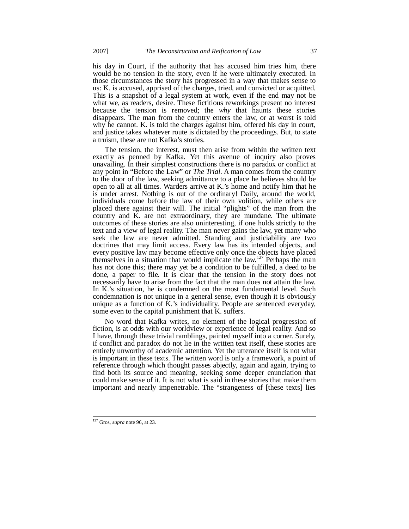his day in Court, if the authority that has accused him tries him, there would be no tension in the story, even if he were ultimately executed. In those circumstances the story has progressed in a way that makes sense to us: K. is accused, apprised of the charges, tried, and convicted or acquitted. This is a snapshot of a legal system at work, even if the end may not be what we, as readers, desire. These fictitious reworkings present no interest because the tension is removed; the *why* that haunts these stories disappears. The man from the country enters the law, or at worst is told why he cannot. K. is told the charges against him, offered his day in court, and justice takes whatever route is dictated by the proceedings. But, to state a truism, these are not Kafka's stories.

The tension, the interest, must then arise from within the written text exactly as penned by Kafka. Yet this avenue of inquiry also proves unavailing. In their simplest constructions there is no paradox or conflict at any point in "Before the Law" or *The Trial*. A man comes from the country to the door of the law, seeking admittance to a place he believes should be open to all at all times. Warders arrive at K.'s home and notify him that he is under arrest. Nothing is out of the ordinary! Daily, around the world, individuals come before the law of their own volition, while others are placed there against their will. The initial "plights" of the man from the country and K. are not extraordinary, they are mundane. The ultimate outcomes of these stories are also uninteresting, if one holds strictly to the text and a view of legal reality. The man never gains the law, yet many who seek the law are never admitted. Standing and justiciability are two doctrines that may limit access. Every law has its intended objects, and every positive law may become effective only once the objects have placed themselves in a situation that would implicate the law.<sup>127</sup> Perhaps the man has not done this; there may yet be a condition to be fulfilled, a deed to be done, a paper to file. It is clear that the tension in the story does not necessarily have to arise from the fact that the man does not attain the law. In K.'s situation, he is condemned on the most fundamental level. Such condemnation is not unique in a general sense, even though it is obviously unique as a function of  $\hat{K}$ , s individuality. People are sentenced everyday, some even to the capital punishment that K. suffers.

No word that Kafka writes, no element of the logical progression of fiction, is at odds with our worldview or experience of legal reality. And so I have, through these trivial ramblings, painted myself into a corner. Surely, if conflict and paradox do not lie in the written text itself, these stories are entirely unworthy of academic attention. Yet the utterance itself is not what is important in these texts. The written word is only a framework, a point of reference through which thought passes abjectly, again and again, trying to find both its source and meaning, seeking some deeper enunciation that could make sense of it. It is not what is said in these stories that make them important and nearly impenetrable. The "strangeness of [these texts] lies

<sup>127</sup> Gros, *supra* note 96, at 23.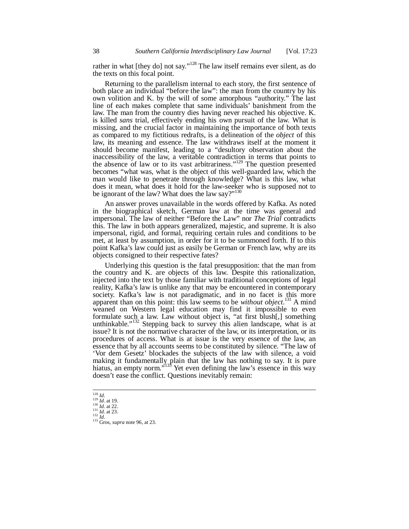rather in what [they do] not say."<sup>128</sup> The law itself remains ever silent, as do the texts on this focal point.

Returning to the parallelism internal to each story, the first sentence of both place an individual "before the law": the man from the country by his own volition and K. by the will of some amorphous "authority." The last line of each makes complete that same individuals' banishment from the law. The man from the country dies having never reached his objective. K. is killed *sans* trial, effectively ending his own pursuit of the law. What is missing, and the crucial factor in maintaining the importance of both texts as compared to my fictitious redrafts, is a delineation of the *object* of this law, its meaning and essence. The law withdraws itself at the moment it should become manifest, leading to a "desultory observation about the inaccessibility of the law, a veritable contradiction in terms that points to the absence of law or to its vast arbitrariness."<sup>129</sup> The question presented becomes "what was, what is the object of this well-guarded law, which the man would like to penetrate through knowledge? What is this law, what does it mean, what does it hold for the law-seeker who is supposed not to be ignorant of the law? What does the law say?"<sup>130</sup>

An answer proves unavailable in the words offered by Kafka. As noted in the biographical sketch, German law at the time was general and impersonal. The law of neither "Before the Law" nor *The Trial* contradicts this. The law in both appears generalized, majestic, and supreme. It is also impersonal, rigid, and formal, requiring certain rules and conditions to be met, at least by assumption, in order for it to be summoned forth. If to this point Kafka's law could just as easily be German or French law, why are its objects consigned to their respective fates?

Underlying this question is the fatal presupposition: that the man from the country and K. are objects of this law. Despite this rationalization, injected into the text by those familiar with traditional conceptions of legal reality, Kafka's law is unlike any that may be encountered in contemporary society. Kafka's law is not paradigmatic, and in no facet is this more apparent than on this point: this law seems to be *without object*. <sup>131</sup> A mind weaned on Western legal education may find it impossible to even formulate such a law. Law without object is, "at first blush[,] something unthinkable." $132$  Stepping back to survey this alien landscape, what is at issue? It is not the normative character of the law, or its interpretation, or its procedures of access. What is at issue is the very essence of the law, an essence that by all accounts seems to be constituted by silence. "The law of 'Vor dem Gesetz' blockades the subjects of the law with silence, a void making it fundamentally plain that the law has nothing to say. It is pure hiatus, an empty norm.<sup> $5133$ </sup> Yet even defining the law's essence in this way doesn't ease the conflict. Questions inevitably remain:

<sup>128</sup> *Id*. <sup>129</sup> *Id*. at 19.

<sup>130</sup> *Id*. at 22. <sup>131</sup> *Id*. at 23. <sup>132</sup> *Id*.

<sup>133</sup> Gros, *supra* note 96, at 23.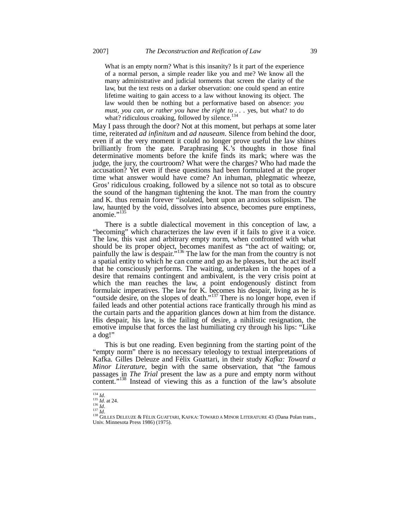What is an empty norm? What is this insanity? Is it part of the experience of a normal person, a simple reader like you and me? We know all the many administrative and judicial torments that screen the clarity of the law, but the text rests on a darker observation: one could spend an entire lifetime waiting to gain access to a law without knowing its object. The law would then be nothing but a performative based on absence: *you must, you can, or rather you have the right to . . .* yes, but what? to do what? ridiculous croaking, followed by silence.<sup>134</sup>

May I pass through the door? Not at this moment, but perhaps at some later time, reiterated *ad infinitum* and *ad nauseam*. Silence from behind the door, even if at the very moment it could no longer prove useful the law shines brilliantly from the gate. Paraphrasing K.'s thoughts in those final determinative moments before the knife finds its mark; where was the judge, the jury, the courtroom? What were the charges? Who had made the accusation? Yet even if these questions had been formulated at the proper time what answer would have come? An inhuman, phlegmatic wheeze, Gros' ridiculous croaking, followed by a silence not so total as to obscure the sound of the hangman tightening the knot. The man from the country and K. thus remain forever "isolated, bent upon an anxious solipsism. The law, haunted by the void, dissolves into absence, becomes pure emptiness, anomie."<sup>135</sup>

There is a subtle dialectical movement in this conception of law, a "becoming" which characterizes the law even if it fails to give it a voice. The law, this vast and arbitrary empty norm, when confronted with what should be its proper object, becomes manifest as "the act of waiting; or, painfully the law is despair."<sup>136</sup> The law for the man from the country is not a spatial entity to which he can come and go as he pleases, but the act itself that he consciously performs. The waiting, undertaken in the hopes of a desire that remains contingent and ambivalent, is the very crisis point at which the man reaches the law, a point endogenously distinct from formulaic imperatives. The law for K. becomes his despair, living as he is "outside desire, on the slopes of death."<sup>137</sup> There is no longer hope, even if failed leads and other potential actions race frantically through his mind as the curtain parts and the apparition glances down at him from the distance. His despair, his law, is the failing of desire, a nihilistic resignation, the emotive impulse that forces the last humiliating cry through his lips: "Like a dog!"

This is but one reading. Even beginning from the starting point of the "empty norm" there is no necessary teleology to textual interpretations of Kafka. Gilles Deleuze and Fèlix Guattari, in their study *Kafka: Toward a Minor Literature*, begin with the same observation, that "the famous passages in *The Trial* present the law as a pure and empty norm without content."<sup>138</sup> Instead of viewing this as a function of the law's absolute

<sup>134</sup> *Id*. <sup>135</sup> *Id*. at 24.

<sup>&</sup>lt;sup>136</sup> *Id.*<br><sup>137</sup> *Id.*<br><sup>138</sup> GILLES DELEUZE & FÈLIX GUATTARI, KAFKA: TOWARD A MINOR LITERATURE 43 (Dana Polan trans., Univ. Minnesota Press 1986) (1975).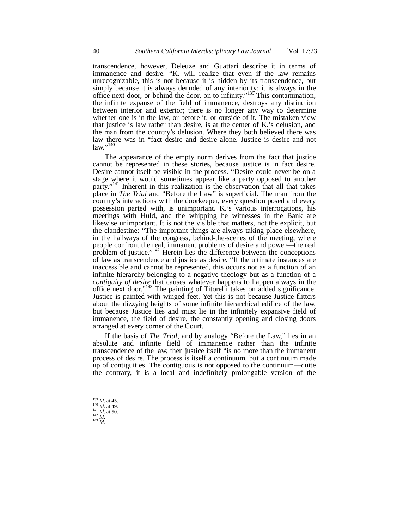transcendence, however, Deleuze and Guattari describe it in terms of immanence and desire. "K. will realize that even if the law remains unrecognizable, this is not because it is hidden by its transcendence, but simply because it is always denuded of any interiority: it is always in the office next door, or behind the door, on to infinity."<sup>139</sup> This contamination, the infinite expanse of the field of immanence, destroys any distinction between interior and exterior; there is no longer any way to determine whether one is in the law, or before it, or outside of it. The mistaken view that justice is law rather than desire, is at the center of K.'s delusion, and the man from the country's delusion. Where they both believed there was law there was in "fact desire and desire alone. Justice is desire and not  $law.$ "<sup>140</sup>

The appearance of the empty norm derives from the fact that justice cannot be represented in these stories, because justice is in fact desire. Desire cannot itself be visible in the process. "Desire could never be on a stage where it would sometimes appear like a party opposed to another party."<sup>141</sup> Inherent in this realization is the observation that all that takes place in *The Trial* and "Before the Law" is superficial. The man from the country's interactions with the doorkeeper, every question posed and every possession parted with, is unimportant. K.'s various interrogations, his meetings with Huld, and the whipping he witnesses in the Bank are likewise unimportant. It is not the visible that matters, not the explicit, but the clandestine: "The important things are always taking place elsewhere, in the hallways of the congress, behind-the-scenes of the meeting, where people confront the real, immanent problems of desire and power—the real problem of justice."<sup>142</sup> Herein lies the difference between the conceptions of law as transcendence and justice as desire. "If the ultimate instances are inaccessible and cannot be represented, this occurs not as a function of an infinite hierarchy belonging to a negative theology but as a function of a *contiguity of desire* that causes whatever happens to happen always in the office next door."<sup>143</sup> The painting of Titorelli takes on added significance. Justice is painted with winged feet. Yet this is not because Justice flitters about the dizzying heights of some infinite hierarchical edifice of the law, but because Justice lies and must lie in the infinitely expansive field of immanence, the field of desire, the constantly opening and closing doors arranged at every corner of the Court.

If the basis of *The Trial*, and by analogy "Before the Law," lies in an absolute and infinite field of immanence rather than the infinite transcendence of the law, then justice itself "is no more than the immanent process of desire. The process is itself a continuum, but a continuum made up of contiguities. The contiguous is not opposed to the continuum—quite the contrary, it is a local and indefinitely prolongable version of the

<sup>139</sup> *Id*. at 45.

<sup>140</sup> *Id*. at 49. <sup>141</sup> *Id*. at 50. <sup>142</sup> *Id*.

<sup>143</sup> *Id*.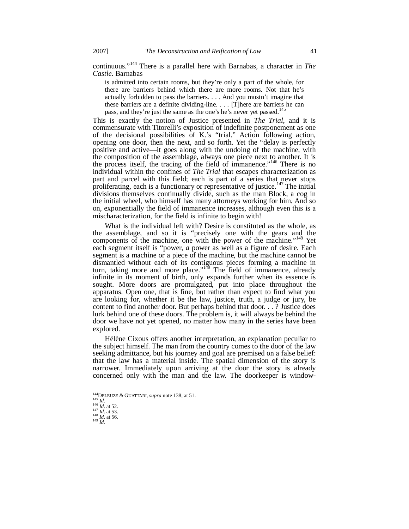continuous."<sup>144</sup> There is a parallel here with Barnabas, a character in *The Castle*. Barnabas

is admitted into certain rooms, but they're only a part of the whole, for there are barriers behind which there are more rooms. Not that he's actually forbidden to pass the barriers. . . . And you mustn't imagine that these barriers are a definite dividing-line. . . . [T]here are barriers he can pass, and they're just the same as the one's he's never yet passed.<sup>14</sup>

This is exactly the notion of Justice presented in *The Trial*, and it is commensurate with Titorelli's exposition of indefinite postponement as one of the decisional possibilities of K.'s "trial." Action following action, opening one door, then the next, and so forth. Yet the "delay is perfectly positive and active—it goes along with the undoing of the machine, with the composition of the assemblage, always one piece next to another. It is the process itself, the tracing of the field of immanence."<sup>146</sup> There is no individual within the confines of *The Trial* that escapes characterization as part and parcel with this field; each is part of a series that never stops proliferating, each is a functionary or representative of justice.<sup>147</sup> The initial divisions themselves continually divide, such as the man Block, a cog in the initial wheel, who himself has many attorneys working for him. And so on, exponentially the field of immanence increases, although even this is a mischaracterization, for the field is infinite to begin with!

What is the individual left with? Desire is constituted as the whole, as the assemblage, and so it is "precisely one with the gears and the components of the machine, one with the power of the machine."<sup>148</sup> Yet each segment itself is "power, *a* power as well as a figure of desire. Each segment is a machine or a piece of the machine, but the machine cannot be dismantled without each of its contiguous pieces forming a machine in turn, taking more and more place."<sup>149</sup> The field of immanence, already infinite in its moment of birth, only expands further when its essence is sought. More doors are promulgated, put into place throughout the apparatus. Open one, that is fine, but rather than expect to find what you are looking for, whether it be the law, justice, truth, a judge or jury, be content to find another door. But perhaps behind that door. . . ? Justice does lurk behind one of these doors. The problem is, it will always be behind the door we have not yet opened, no matter how many in the series have been explored.

Hélène Cixous offers another interpretation, an explanation peculiar to the subject himself. The man from the country comes to the door of the law seeking admittance, but his journey and goal are premised on a false belief: that the law has a material inside. The spatial dimension of the story is narrower. Immediately upon arriving at the door the story is already concerned only with the man and the law. The doorkeeper is window-

<sup>144</sup>DELEUZE & GUATTARI, *supra* note 138, at 51. <sup>145</sup> *Id*.

<sup>146</sup> *Id*. at 52. <sup>147</sup> *Id*. at 53. <sup>148</sup> *Id*. at 56.

<sup>149</sup> *Id*.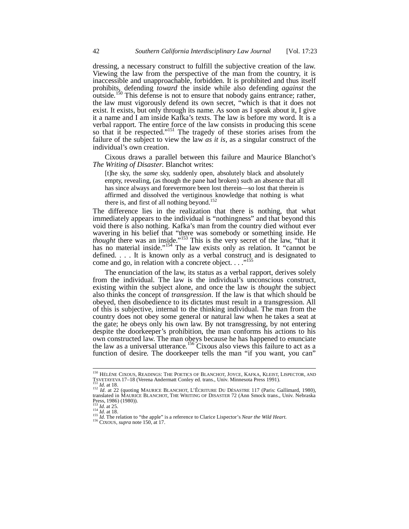dressing, a necessary construct to fulfill the subjective creation of the law. Viewing the law from the perspective of the man from the country, it is inaccessible and unapproachable, forbidden. It is prohibited and thus itself prohibits, defending *toward* the inside while also defending *against* the outside.<sup>150</sup> This defense is not to ensure that nobody gains entrance; rather, the law must vigorously defend its own secret, "which is that it does not exist. It exists, but only through its name. As soon as I speak about it, I give it a name and I am inside Kafka's texts. The law is before my word. It is a verbal rapport. The entire force of the law consists in producing this scene so that it be respected."<sup>151</sup> The tragedy of these stories arises from the failure of the subject to view the law *as it is*, as a singular construct of the individual's own creation.

Cixous draws a parallel between this failure and Maurice Blanchot's *The Writing of Disaster*. Blanchot writes:

[t]he sky, the *same* sky, suddenly open, absolutely black and absolutely empty, revealing, (as though the pane had broken) such an absence that all has since always and forevermore been lost therein—so lost that therein is affirmed and dissolved the vertiginous knowledge that nothing is what there is, and first of all nothing beyond.<sup>152</sup>

The difference lies in the realization that there is nothing, that what immediately appears to the individual is "nothingness" and that beyond this void there is also nothing. Kafka's man from the country died without ever wavering in his belief that "there was somebody or something inside. He *thought* there was an inside."<sup>153</sup> This is the very secret of the law, "that it has no material inside."<sup>154</sup> The law exists only as relation. It "cannot be defined. . . . It is known only as a verbal construct and is designated to come and go, in relation with a concrete object. . . ."<sup>155</sup>

The enunciation of the law, its status as a verbal rapport, derives solely from the individual. The law is the individual's unconscious construct, existing within the subject alone, and once the law is *thought* the subject also thinks the concept of *transgression*. If the law is that which should be obeyed, then disobedience to its dictates must result in a transgression. All of this is subjective, internal to the thinking individual. The man from the country does not obey some general or natural law when he takes a seat at the gate; he obeys only his own law. By not transgressing, by not entering despite the doorkeeper's prohibition, the man conforms his actions to his own constructed law. The man obeys because he has happened to enunciate the law as a universal utterance.<sup>156</sup> Cixous also views this failure to act as a function of desire. The doorkeeper tells the man "if you want, you can"

<sup>150</sup> HÉLÈNE CIXOUS, READINGS: THE POETICS OF BLANCHOT, JOYCE, KAFKA, KLEIST, LISPECTOR, AND TSVETATE VIAOUS, AEADINOS. THE FOETIUS OF BLANCHOT, JOYCE, KAFKA, KLEIST,<br>TSVETAYEVA 17–18 (Verena Andermatt Conley ed. trans., Univ. Minnesota Press 1991). *Id.* at 18.

<sup>&</sup>lt;sup>152</sup> Id. at 22 (quoting MAURICE BLANCHOT, L'ÉCRITURE DU DÉSASTRE 117 (Paris: Gallimard, 1980),<br>translated in MAURICE BLANCHOT, THE WRITING OF DISASTER 72 (Ann Smock trans., Univ. Nebraska Press, 1986) (1980)).

<sup>153</sup> *Id.* at 25. <sup>154</sup> *Id*. at 18. <sup>155</sup> *Id*. The relation to "the apple" is a reference to Clarice Lispector's *Near the Wild Heart*.

<sup>156</sup> CIXOUS, *supra* note 150, at 17.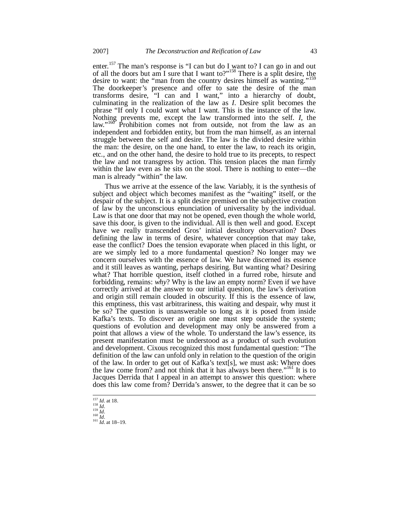enter.<sup>157</sup> The man's response is "I can but do I want to? I can go in and out of all the doors but am I sure that I want to?"<sup>158</sup> There is a split desire, the desire to want: the "man from the country desires himself as wanting." The doorkeeper's presence and offer to sate the desire of the man transforms desire, "I can and I want," into a hierarchy of doubt, culminating in the realization of the law as *I*. Desire split becomes the phrase "If only I could want what I want. This is the instance of the law. Nothing prevents me, except the law transformed into the self. *I*, the law."<sup>160</sup> Prohibition comes not from outside, not from the law as an independent and forbidden entity, but from the man himself, as an internal struggle between the self and desire. The law is the divided desire within the man: the desire, on the one hand, to enter the law, to reach its origin, etc., and on the other hand, the desire to hold true to its precepts, to respect the law and not transgress by action. This tension places the man firmly within the law even as he sits on the stool. There is nothing to enter—the man is already "within" the law.

Thus we arrive at the essence of the law. Variably, it is the synthesis of subject and object which becomes manifest as the "waiting" itself, or the despair of the subject. It is a split desire premised on the subjective creation of law by the unconscious enunciation of universality by the individual. Law is that one door that may not be opened, even though the whole world, save this door, is given to the individual. All is then well and good. Except have we really transcended Gros' initial desultory observation? Does defining the law in terms of desire, whatever conception that may take, ease the conflict? Does the tension evaporate when placed in this light, or are we simply led to a more fundamental question? No longer may we concern ourselves with the essence of law. We have discerned its essence and it still leaves as wanting, perhaps desiring. But wanting what? Desiring what? That horrible question, itself clothed in a furred robe, hirsute and forbidding, remains: *why*? Why is the law an empty norm? Even if we have correctly arrived at the answer to our initial question, the law's derivation and origin still remain clouded in obscurity. If this is the essence of law, this emptiness, this vast arbitrariness, this waiting and despair, why must it be so? The question is unanswerable so long as it is posed from inside Kafka's texts. To discover an origin one must step outside the system; questions of evolution and development may only be answered from a point that allows a view of the whole. To understand the law's essence, its present manifestation must be understood as a product of such evolution and development. Cixous recognized this most fundamental question: "The definition of the law can unfold only in relation to the question of the origin of the law. In order to get out of Kafka's text[s], we must ask: Where does the law come from? and not think that it has always been there."<sup>161</sup> It is to Jacques Derrida that I appeal in an attempt to answer this question: where does this law come from? Derrida's answer, to the degree that it can be so

<sup>157</sup> *Id*. at 18.

<sup>158</sup> *Id*. <sup>159</sup> *Id*. <sup>160</sup> *Id*.

<sup>161</sup> *Id*. at 18–19.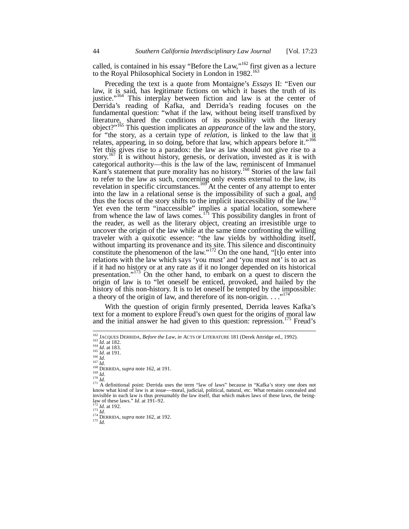called, is contained in his essay "Before the Law," $162$  first given as a lecture to the Royal Philosophical Society in London in 1982.<sup>163</sup>

Preceding the text is a quote from Montaigne's *Essays* II: "Even our law, it is said, has legitimate fictions on which it bases the truth of its justice."<sup>164</sup> This interplay between fiction and law is at the center of Derrida's reading of Kafka, and Derrida's reading focuses on the fundamental question: "what if the law, without being itself transfixed by literature, shared the conditions of its possibility with the literary object?"<sup>165</sup> This question implicates an *appearance* of the law and the story, for "the story, as a certain type of *relation*, is linked to the law that it relates, appearing, in so doing, before that law, which appears before it."<sup>166</sup> Yet this gives rise to a paradox: the law as law should not give rise to a story.<sup>167</sup> It is without history, genesis, or derivation, invested as it is with categorical authority—this is the law of the law, reminiscent of Immanuel Kant's statement that pure morality has no history.<sup>168</sup> Stories of the law fail to refer to the law as such, concerning only events external to the law, its revelation in specific circumstances.<sup>169</sup> At the center of any attempt to enter into the law in a relational sense is the impossibility of such a goal, and thus the focus of the story shifts to the implicit inaccessibility of the law.<sup>1</sup> Yet even the term "inaccessible" implies a spatial location, somewhere from whence the law of laws comes.<sup>171</sup> This possibility dangles in front of the reader, as well as the literary object, creating an irresistible urge to uncover the origin of the law while at the same time confronting the willing traveler with a quixotic essence: "the law yields by withholding itself, without imparting its provenance and its site. This silence and discontinuity constitute the phenomenon of the law."<sup>172</sup> On the one hand, "[t]o enter into relations with the law which says 'you must' and 'you must not' is to act as if it had no history or at any rate as if it no longer depended on its historical presentation."<sup>173</sup> On the other hand, to embark on a quest to discern the origin of law is to "let oneself be enticed, provoked, and hailed by the history of this non-history. It is to let oneself be tempted by the impossible: a theory of the origin of law, and therefore of its non-origin. . . . "<sup>17</sup>

With the question of origin firmly presented, Derrida leaves Kafka's text for a moment to explore Freud's own quest for the origins of moral law and the initial answer he had given to this question: repression.<sup>175</sup> Freud's

<sup>166</sup> *Id*. <sup>167</sup> *Id.*

<sup>175</sup> *Id.*

<sup>162</sup> JACQUES DERRIDA, *Before the Law*, *in* ACTS OF LITERATURE 181 (Derek Attridge ed., 1992).

<sup>163</sup> *Id*. at 182. <sup>164</sup> *Id*. at 183. <sup>165</sup> *Id*. at 191.

<sup>168</sup> DERRIDA, *supra* note 162, at 191.

<sup>&</sup>lt;sup>169</sup> *Id.*<br><sup>170</sup> *Id.*<br><sup>171</sup> A definitional point: Derrida uses the term "law of laws" because in "Kafka's story one does not know what kind of law is at issue—moral, judicial, political, natural, etc. What remains concealed and invisible in each law is thus presumably the law itself, that which makes laws of these laws, the beinglaw of these laws." *Id*. at 191–92.

<sup>172</sup> *Id*. at 192. <sup>173</sup> *Id*.

<sup>&</sup>lt;sup>174</sup> DERRIDA, *supra* note 162, at 192.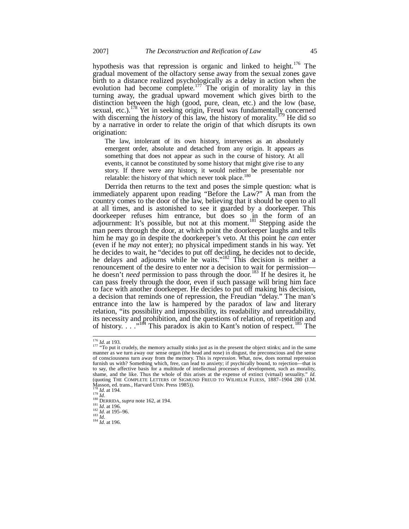hypothesis was that repression is organic and linked to height.<sup>176</sup> The gradual movement of the olfactory sense away from the sexual zones gave birth to a distance realized psychologically as a delay in action when the evolution had become complete.<sup>177</sup> The origin of morality lay in this turning away, the gradual upward movement which gives birth to the distinction between the high (good, pure, clean, etc.) and the low (base, sexual, etc.).<sup>178</sup> Yet in seeking origin, Freud was fundamentally concerned with discerning the *history* of this law, the history of morality.<sup>179</sup> He did so by a narrative in order to relate the origin of that which disrupts its own origination:

The law, intolerant of its own history, intervenes as an absolutely emergent order, absolute and detached from any origin. It appears as something that does not appear as such in the course of history. At all events, it cannot be constituted by some history that might give rise to any story. If there were any history, it would neither be presentable nor relatable: the history of that which never took place.<sup>180</sup>

Derrida then returns to the text and poses the simple question: what is immediately apparent upon reading "Before the Law?" A man from the country comes to the door of the law, believing that it should be open to all at all times, and is astonished to see it guarded by a doorkeeper. This doorkeeper refuses him entrance, but does so in the form of an adjournment: It's possible, but not at this moment.<sup>181</sup> Stepping aside the man peers through the door, at which point the doorkeeper laughs and tells him he may go in despite the doorkeeper's veto. At this point he *can* enter (even if he *may* not enter); no physical impediment stands in his way. Yet he decides to wait, he "decides to put off deciding, he decides not to decide, he delays and adjourns while he waits."<sup>182</sup> This decision is neither a renouncement of the desire to enter nor a decision to wait for permission he doesn't *need* permission to pass through the door.<sup>183</sup> If he desires it, he can pass freely through the door, even if such passage will bring him face to face with another doorkeeper. He decides to put off making his decision, a decision that reminds one of repression, the Freudian "delay." The man's entrance into the law is hampered by the paradox of law and literary relation, "its possibility and impossibility, its readability and unreadability, its necessity and prohibition, and the questions of relation, of repetition and of history. . . . "<sup>184</sup> This paradox is akin to Kant's notion of respect.<sup>185</sup> The

 $176$  *Id.* at 193.<br> $177$  "To put it crudely, the memory actually stinks just as in the present the object stinks; and in the same<br>manner as we turn away our sense organ (the head and nose) in disgust, the preconscious an of consciousness turn away from the memory. This is *repression*. What, now, does normal repression furnish us with? Something which, free, can lead to anxiety; if psychically bound, to rejection—that is to say, the affective basis for a multitude of intellectual processes of development, such as morality, shame, and the like. Thus the whole of this arises at the expense of extinct (virtual) sexuality." *Id.*<br>(quoting THE COMPLETE LETTERS OF SIGMUND FREUD TO WILHELM FLIESS, 1887–1904 280 (J.M.) Masson, ed. trans., Harvard Univ. Press 1985)).

<sup>178</sup> *Id.* at 194. <sup>179</sup> *Id*. <sup>180</sup> DERRIDA, *supra* note 162, at 194.

<sup>181</sup> *Id*. at 196. <sup>182</sup> *Id*. at 195–96.

<sup>183</sup> *Id.*

<sup>184</sup> *Id*. at 196.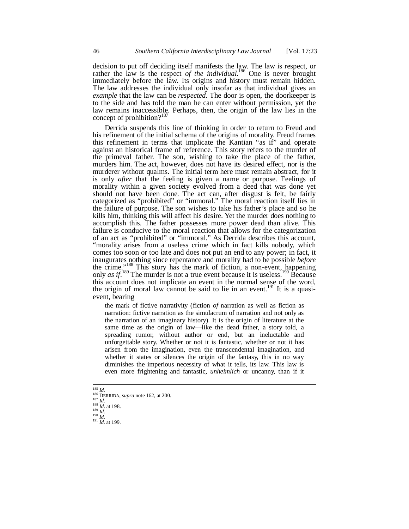decision to put off deciding itself manifests the law. The law is respect, or rather the law is the respect of the individual.<sup>186</sup> One is never brought immediately before the law. Its origins and history must remain hidden. The law addresses the individual only insofar as that individual gives an *example* that the law can be *respected*. The door is open, the doorkeeper is to the side and has told the man he can enter without permission, yet the law remains inaccessible. Perhaps, then, the origin of the law lies in the concept of prohibition? $187$ 

Derrida suspends this line of thinking in order to return to Freud and his refinement of the initial schema of the origins of morality. Freud frames this refinement in terms that implicate the Kantian "as if" and operate against an historical frame of reference. This story refers to the murder of the primeval father. The son, wishing to take the place of the father, murders him. The act, however, does not have its desired effect, nor is the murderer without qualms. The initial term here must remain abstract, for it is only *after* that the feeling is given a name or purpose. Feelings of morality within a given society evolved from a deed that was done yet should not have been done. The act can, after disgust is felt, be fairly categorized as "prohibited" or "immoral." The moral reaction itself lies in the failure of purpose. The son wishes to take his father's place and so he kills him, thinking this will affect his desire. Yet the murder does nothing to accomplish this. The father possesses more power dead than alive. This failure is conducive to the moral reaction that allows for the categorization of an act as "prohibited" or "immoral." As Derrida describes this account, "morality arises from a useless crime which in fact kills nobody, which comes too soon or too late and does not put an end to any power; in fact, it inaugurates nothing since repentance and morality had to be possible *before* the crime."<sup>188</sup> This story has the mark of fiction, a non-event, happening only *as if*.<sup>189</sup> The murder is not a true event because it is useless.<sup>190</sup> Because this account does not implicate an event in the normal sense of the word, the origin of moral law cannot be said to lie in an event.<sup>191</sup> It is a quasievent, bearing

the mark of fictive narrativity (fiction *of* narration as well as fiction as narration: fictive narration as the simulacrum of narration and not only as the narration of an imaginary history). It is the origin of literature at the same time as the origin of law—like the dead father, a story told, a spreading rumor, without author or end, but an ineluctable and unforgettable story. Whether or not it is fantastic, whether or not it has arisen from the imagination, even the transcendental imagination, and whether it states or silences the origin of the fantasy, this in no way diminishes the imperious necessity of what it tells, its law. This law is even more frightening and fantastic, *unheimlich* or uncanny, than if it

<sup>185</sup> *Id.* <sup>186</sup> DERRIDA, *supra* note 162, at 200. <sup>187</sup> *Id.*  $\frac{187}{187}$  *Id.*  $\frac{188}{16}$  *Id.* at 198.

<sup>189</sup> *Id.* <sup>190</sup> *Id.*

<sup>191</sup> *Id.* at 199.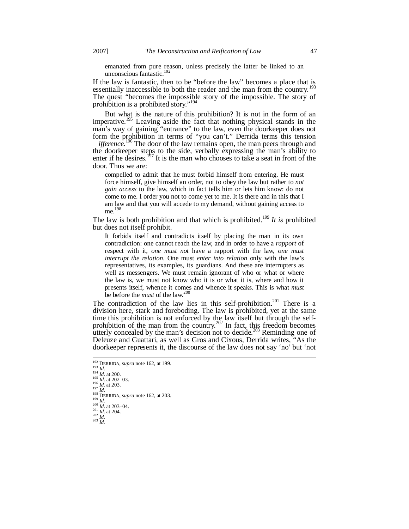emanated from pure reason, unless precisely the latter be linked to an unconscious fantastic.<sup>192</sup>

If the law is fantastic, then to be "before the law" becomes a place that is essentially inaccessible to both the reader and the man from the country.<sup>1</sup> The quest "becomes the impossible story of the impossible. The story of prohibition is a prohibited story."<sup>194</sup>

But what is the nature of this prohibition? It is not in the form of an imperative.<sup>195</sup> Leaving aside the fact that nothing physical stands in the man's way of gaining "entrance" to the law, even the doorkeeper does not form the prohibition in terms of "you can't." Derrida terms this tension

*ifference*.<sup>196</sup> The door of the law remains open, the man peers through and the doorkeeper steps to the side, verbally expressing the man's ability to enter if he desires.<sup>197</sup> It is the man who chooses to take a seat in front of the door. Thus we are:

compelled to admit that he must forbid himself from entering. He must force himself, give himself an order, not to obey the law but rather to *not gain access* to the law, which in fact tells him or lets him know: do not come to me. I order you not to come yet to me. It is there and in this that I am law and that you will accede to my demand, without gaining access to me.<sup>198</sup>

The law is both prohibition and that which is prohibited.<sup>199</sup> It is prohibited but does not itself prohibit.

It forbids itself and contradicts itself by placing the man in its own contradiction: one cannot reach the law, and in order to have a *rapport* of respect with it, *one must not* have a rapport with the law, *one must interrupt the relation*. One must *enter into relation* only with the law's representatives, its examples, its guardians. And these are interrupters as well as messengers. We must remain ignorant of who or what or where the law is, we must not know who it is or what it is, where and how it presents itself, whence it comes and whence it speaks. This is what *must* be before the *must* of the law.<sup>200</sup>

The contradiction of the law lies in this self-prohibition.<sup>201</sup> There is a division here, stark and foreboding. The law is prohibited, yet at the same time this prohibition is not enforced by the law itself but through the selfprohibition of the man from the country.<sup>202</sup> In fact, this freedom becomes utterly concealed by the man's decision not to decide.<sup>203</sup> Reminding one of Deleuze and Guattari, as well as Gros and Cixous, Derrida writes, "As the doorkeeper represents it, the discourse of the law does not say 'no' but 'not

<sup>192</sup> DERRIDA, *supra* note 162, at 199. <sup>193</sup> *Id.*

<sup>194</sup> *Id*. at 200. <sup>195</sup> *Id.* at 202–03. <sup>196</sup> *Id.* at 203.

<sup>197</sup> *Id*. <sup>198</sup> DERRIDA, *supra* note 162, at 203.  $\frac{15}{199}$  *Id.* 

<sup>200</sup> *Id*. at 203–04. <sup>201</sup> *Id.* at 204. <sup>202</sup> *Id.*

<sup>203</sup> *Id.*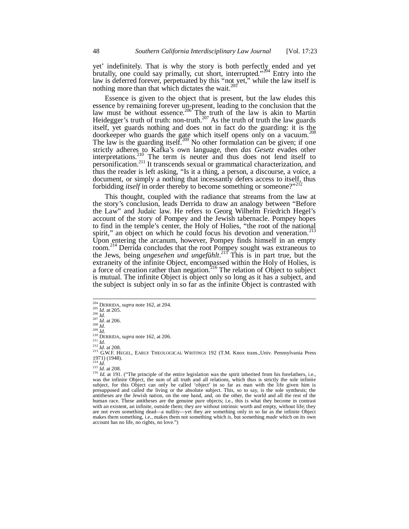yet' indefinitely. That is why the story is both perfectly ended and yet brutally, one could say primally, cut short, interrupted."<sup>204</sup> Entry into the law is deferred forever, perpetuated by this "not yet," while the law itself is nothing more than that which dictates the wait. $^{205}$ 

Essence is given to the object that is present, but the law eludes this essence by remaining forever un-present, leading to the conclusion that the law must be without essence.<sup>206</sup> The truth of the law is akin to Martin Heidegger's truth of truth: non-truth.<sup>207</sup> As the truth of truth the law guards itself, yet guards nothing and does not in fact do the guarding: it is the doorkeeper who guards the gate which itself opens only on a vacuum.<sup>208</sup> The law is the guarding itself.<sup>209</sup> No other formulation can be given; if one strictly adheres to Kafka's own language, then *das Gesetz* evades other interpretations.<sup>210</sup> The term is neuter and thus does not lend itself to interpretations.<sup>210</sup> The term is neuter and thus does not lend itself to personification.<sup>211</sup> It transcends sexual or grammatical characterization, and thus the reader is left asking, "Is it a thing, a person, a discourse, a voice, a document, or simply a nothing that incessantly defers access to itself, thus forbidding *itself* in order thereby to become something or someone?"<sup>212</sup>

This thought, coupled with the radiance that streams from the law at the story's conclusion, leads Derrida to draw an analogy between "Before the Law" and Judaic law. He refers to Georg Wilhelm Friedrich Hegel's account of the story of Pompey and the Jewish tabernacle. Pompey hopes to find in the temple's center, the Holy of Holies, "the root of the national spirit," an object on which he could focus his devotion and veneration. Upon entering the arcanum, however, Pompey finds himself in an empty room.<sup>214</sup> Derrida concludes that the root Pompey sought was extraneous to the Jews, being *ungesehen und ungefühlt*. <sup>215</sup> This is in part true, but the extraneity of the infinite Object, encompassed within the Holy of Holies, is a force of creation rather than negation.<sup>216</sup> The relation of Object to subject is mutual. The infinite Object is object only so long as it has a subject, and the subject is subject only in so far as the infinite Object is contrasted with

<sup>208</sup> *Id.* <sup>209</sup> *Id.*

 $^{211}$  *Id.* 

<sup>212</sup> Id. at 208.<br><sup>213</sup> G.W.F. HEGEL, EARLY THEOLOGICAL WRITINGS 192 (T.M. Knox trans.,Univ. Pennsylvania Press  $\frac{1971}{214}$  (1948).

<sup>214</sup> *Id*. <sup>215</sup> *Id*. at 208.

<sup>204</sup> DERRIDA, *supra* note 162, at 204.

<sup>205</sup> *Id*. at 205. <sup>206</sup> *Id.* <sup>207</sup> *Id*. at 206.

<sup>210</sup> DERRIDA, *supra* note 162, at 206.

<sup>&</sup>lt;sup>216</sup> *Id.* at 191. ("The principle of the entire legislation was the spirit inherited from his forefathers, i.e., was the infinite Object, the sum of all truth and all relations, which thus is strictly the sole infinite subject, for this Object can only be called 'object' in so far as man with the life given him is presupposed and called the living or the absolute subject. This, so to say, is the sole synthesis; the antitheses are the Jewish nation, on the one hand, and, on the other, the world and all the rest of the human race. These antitheses are the genuine pure objects; i.e., this is what they become in contrast with an existent, an infinite, outside them; they are without intrinsic worth and empty, without life; they are not even something dead—a nullity—yet they are something only in so far as the infinite Object makes them something, i.e., makes them not something which *is*, but something *made* which on its own account has no life, no rights, no love.")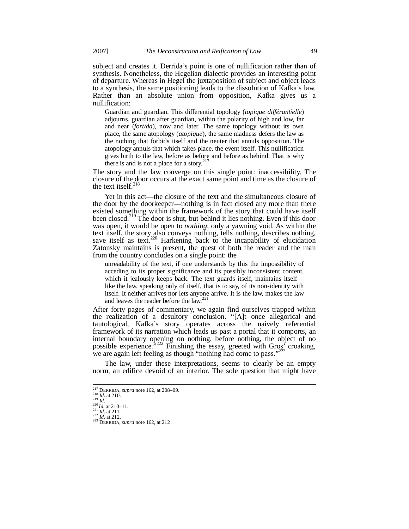subject and creates it. Derrida's point is one of nullification rather than of synthesis. Nonetheless, the Hegelian dialectic provides an interesting point of departure. Whereas in Hegel the juxtaposition of subject and object leads to a synthesis, the same positioning leads to the dissolution of Kafka's law. Rather than an absolute union from opposition, Kafka gives us a nullification:

Guardian and guardian. This differential topology (*topique différantielle*) adjourns, guardian after guardian, within the polarity of high and low, far and near (*fort/da*), now and later. The same topology without its own place, the same atopology (*atopique*), the same madness defers the law as the nothing that forbids itself and the neuter that annuls opposition. The atopology annuls that which takes place, the event itself. This nullification gives birth to the law, before as before and before as behind. That is why there is and is not a place for a story.<sup>2</sup>

The story and the law converge on this single point: inaccessibility. The closure of the door occurs at the exact same point and time as the closure of the text itself.<sup>218</sup>

Yet in this act—the closure of the text and the simultaneous closure of the door by the doorkeeper—nothing is in fact closed any more than there existed something within the framework of the story that could have itself been closed.<sup>219</sup> The door is shut, but behind it lies nothing. Even if this door was open, it would be open to *nothing*, only a yawning void. As within the text itself, the story also conveys nothing, tells nothing, describes nothing, save itself as text.<sup>220</sup> Harkening back to the incapability of elucidation Zatonsky maintains is present, the quest of both the reader and the man from the country concludes on a single point: the

unreadability of the text, if one understands by this the impossibility of acceding to its proper significance and its possibly inconsistent content, which it jealously keeps back. The text guards itself, maintains itself like the law, speaking only of itself, that is to say, of its non-identity with itself. It neither arrives nor lets anyone arrive. It is the law, makes the law and leaves the reader before the law.<sup>221</sup>

After forty pages of commentary, we again find ourselves trapped within the realization of a desultory conclusion. "[A]t once allegorical and tautological, Kafka's story operates across the naively referential framework of its narration which leads us past a portal that it comports, an internal boundary opening on nothing, before nothing, the object of no possible experience.<sup>5222</sup> Finishing the essay, greeted with Gros' croaking, we are again left feeling as though "nothing had come to pass."

The law, under these interpretations, seems to clearly be an empty norm, an edifice devoid of an interior. The sole question that might have

<sup>217</sup> DERRIDA, *supra* note 162, at 208–09. <sup>218</sup> *Id*. at 210.

 $\frac{21}{219}$   $\frac{1}{10}$ .

<sup>220</sup> *Id.* at 210–11. <sup>221</sup> *Id*. at 211. <sup>222</sup> *Id*. at 212.

<sup>&</sup>lt;sup>223</sup> DERRIDA, *supra* note 162, at 212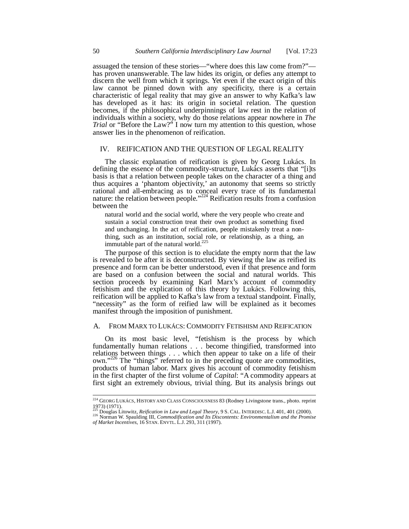assuaged the tension of these stories—"where does this law come from?" has proven unanswerable. The law hides its origin, or defies any attempt to discern the well from which it springs. Yet even if the exact origin of this law cannot be pinned down with any specificity, there is a certain characteristic of legal reality that may give an answer to why Kafka's law has developed as it has: its origin in societal relation. The question becomes, if the philosophical underpinnings of law rest in the relation of individuals within a society, why do those relations appear nowhere in *The Trial* or "Before the Law?" I now turn my attention to this question, whose answer lies in the phenomenon of reification.

# IV. REIFICATION AND THE QUESTION OF LEGAL REALITY

The classic explanation of reification is given by Georg Lukács. In defining the essence of the commodity-structure, Lukács asserts that "[i]ts basis is that a relation between people takes on the character of a thing and thus acquires a 'phantom objectivity,' an autonomy that seems so strictly rational and all-embracing as to conceal every trace of its fundamental nature: the relation between people."<sup>224</sup> Reification results from a confusion between the

natural world and the social world, where the very people who create and sustain a social construction treat their own product as something fixed and unchanging. In the act of reification, people mistakenly treat a nonthing, such as an institution, social role, or relationship, as a thing, an immutable part of the natural world.<sup>225</sup>

The purpose of this section is to elucidate the empty norm that the law is revealed to be after it is deconstructed. By viewing the law as reified its presence and form can be better understood, even if that presence and form are based on a confusion between the social and natural worlds. This section proceeds by examining Karl Marx's account of commodity fetishism and the explication of this theory by Lukács. Following this, reification will be applied to Kafka's law from a textual standpoint. Finally, "necessity" as the form of reified law will be explained as it becomes manifest through the imposition of punishment.

#### A. FROM MARX TO LUKÁCS: COMMODITY FETISHISM AND REIFICATION

On its most basic level, "fetishism is the process by which fundamentally human relations . . . become thingified, transformed into relations between things . . . which then appear to take on a life of their own."<sup>226</sup> The "things" referred to in the preceding quote are commodities, products of human labor. Marx gives his account of commodity fetishism in the first chapter of the first volume of *Capital*: "A commodity appears at first sight an extremely obvious, trivial thing. But its analysis brings out

<sup>224</sup> GEORG LUKÁCS, HISTORY AND CLASS CONSCIOUSNESS 83 (Rodney Livingstone trans., photo. reprint 1973) (1971). <sup>225</sup> Douglas Litowitz, *Reification in Law and Legal Theory*, 9 S. CAL. INTERDISC. L.J. 401, 401 (2000).

<sup>226</sup> Norman W. Spaulding III, *Commodification and Its Discontents: Environmentalism and the Promise of Market Incentives*, 16 STAN. ENVTL. L.J. 293, 311 (1997).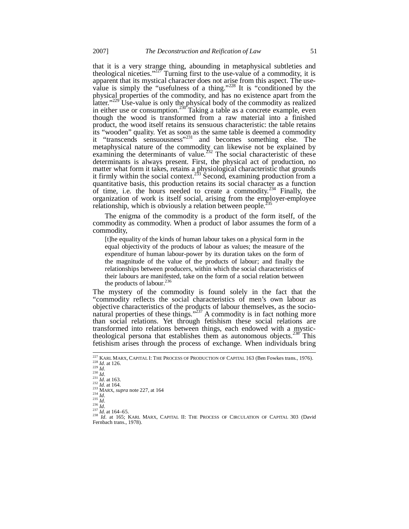that it is a very strange thing, abounding in metaphysical subtleties and theological niceties." $227$  Turning first to the use-value of a commodity, it is apparent that its mystical character does not arise from this aspect. The usevalue is simply the "usefulness of a thing."<sup>228</sup> It is "conditioned by the physical properties of the commodity, and has no existence apart from the latter."<sup>229</sup> Use-value is only the physical body of the commodity as realized in either use or consumption.<sup>230</sup> Taking a table as a concrete example, even though the wood is transformed from a raw material into a finished product, the wood itself retains its sensuous characteristic: the table retains its "wooden" quality. Yet as soon as the same table is deemed a commodity it "transcends sensuousness"<sup>231</sup> and becomes something else. The metaphysical nature of the commodity can likewise not be explained by examining the determinants of value.<sup>232</sup> The social characteristic of these determinants is always present. First, the physical act of production, no matter what form it takes, retains a physiological characteristic that grounds it firmly within the social context.<sup>233</sup> Second, examining production from a quantitative basis, this production retains its social character as a function of time, i.e. the hours needed to create a commodity.<sup>234</sup> Finally, the organization of work is itself social, arising from the employer-employee relationship, which is obviously a relation between people.<sup>2</sup>

The enigma of the commodity is a product of the form itself, of the commodity as commodity. When a product of labor assumes the form of a commodity,

[t]he equality of the kinds of human labour takes on a physical form in the equal objectivity of the products of labour as values; the measure of the expenditure of human labour-power by its duration takes on the form of the magnitude of the value of the products of labour; and finally the relationships between producers, within which the social characteristics of their labours are manifested, take on the form of a social relation between the products of labour. $^{236}$ 

The mystery of the commodity is found solely in the fact that the "commodity reflects the social characteristics of men's own labour as objective characteristics of the products of labour themselves, as the socionatural properties of these things."<sup>237</sup> A commodity is in fact nothing more than social relations. Yet through fetishism these social relations are transformed into relations between things, each endowed with a mystictheological persona that establishes them as autonomous objects.<sup>238</sup> This fetishism arises through the process of exchange. When individuals bring

<sup>&</sup>lt;sup>227</sup> KARL MARX, CAPITAL I: THE PROCESS OF PRODUCTION OF CAPITAL 163 (Ben Fowkes trans., 1976).<br><sup>228</sup> *Id*. at 126.<br>*2*29 *Id*.

<sup>230</sup> *Id*. <sup>231</sup> *Id*. at 163. <sup>232</sup> *Id.* at 164.

<sup>233</sup> MARX, *supra* note 227, at 164 <sup>234</sup> *Id*.

<sup>235</sup> *Id*.

<sup>&</sup>lt;sup>236</sup> *Id.*<br><sup>237</sup> *Id.* at 164–65.<br><sup>238</sup> *Id.* at 165; Karl Marx, Capital II: The Process of Circulation of Capital 303 (David Fernbach trans., 1978).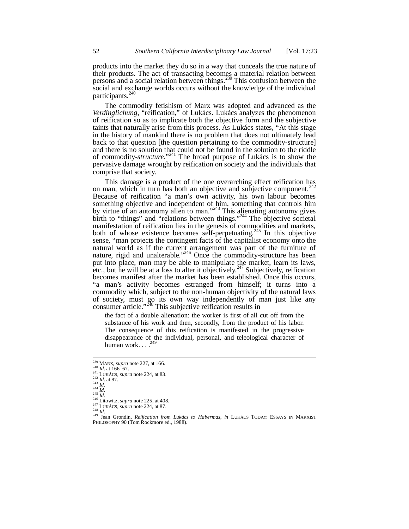products into the market they do so in a way that conceals the true nature of their products. The act of transacting becomes a material relation between persons and a social relation between things.<sup>239</sup> This confusion between the social and exchange worlds occurs without the knowledge of the individual participants.<sup>2</sup>

The commodity fetishism of Marx was adopted and advanced as the *Verdinglichung*, "reification," of Lukács. Lukács analyzes the phenomenon of reification so as to implicate both the objective form and the subjective taints that naturally arise from this process. As Lukács states, "At this stage in the history of mankind there is no problem that does not ultimately lead back to that question [the question pertaining to the commodity-structure] and there is no solution that could not be found in the solution to the riddle of commodity-*structure*."<sup>241</sup> The broad purpose of Lukács is to show the pervasive damage wrought by reification on society and the individuals that comprise that society.

This damage is a product of the one overarching effect reification has on man, which in turn has both an objective and subjective component.<sup>2</sup> Because of reification "a man's own activity, his own labour becomes something objective and independent of him, something that controls him by virtue of an autonomy alien to man."<sup>243</sup> This alienating autonomy gives birth to "things" and "relations between things."<sup>244</sup> The objective societal manifestation of reification lies in the genesis of commodities and markets, both of whose existence becomes self-perpetuating.<sup>245</sup> In this objective sense, "man projects the contingent facts of the capitalist economy onto the natural world as if the current arrangement was part of the furniture of nature, rigid and unalterable."<sup>246</sup> Once the commodity-structure has been put into place, man may be able to manipulate the market, learn its laws, etc., but he will be at a loss to alter it objectively.<sup>247</sup> Subjectively, reification becomes manifest after the market has been established. Once this occurs, "a man's activity becomes estranged from himself; it turns into a commodity which, subject to the non-human objectivity of the natural laws of society, must go its own way independently of man just like any consumer article."<sup>248</sup> This subjective reification results in

the fact of a double alienation: the worker is first of all cut off from the substance of his work and then, secondly, from the product of his labor. The consequence of this reification is manifested in the progressive disappearance of the individual, personal, and teleological character of human work.  $\ldots$ .<sup>249</sup>

<sup>239</sup> MARX, *supra* note 227, at 166.

 $^{240}$  *Id.* at 166–67.

<sup>241</sup> LUKÁCS, *supra* note 224, at 83. <sup>242</sup> *Id*. at 87. <sup>243</sup> *Id*.

<sup>244</sup> *Id*. <sup>245</sup> *Id*.

<sup>&</sup>lt;sup>246</sup> Litowitz, *supra* note 225, at 408.

<sup>247</sup> LUKÁCS, *supra* note 224, at 87.

<sup>248</sup> *Id*.

<sup>&</sup>lt;sup>249</sup> Jean Grondin, *Reification from Lukács to Habermas*, *in* LUKÁCS TODAY: ESSAYS IN MARXIST PHILOSOPHY 90 (Tom Rockmore ed., 1988).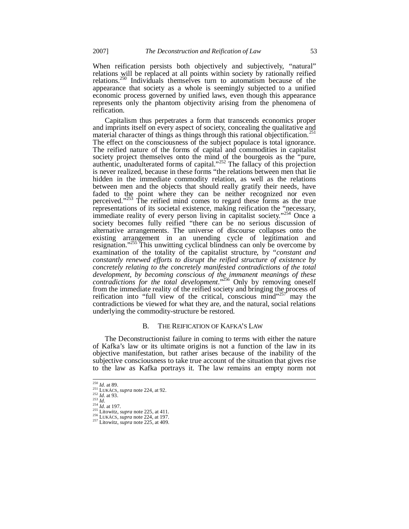When reification persists both objectively and subjectively, "natural" relations will be replaced at all points within society by rationally reified relations.<sup>250</sup> Individuals themselves turn to automatism because of the appearance that society as a whole is seemingly subjected to a unified economic process governed by unified laws, even though this appearance represents only the phantom objectivity arising from the phenomena of reification.

Capitalism thus perpetrates a form that transcends economics proper and imprints itself on every aspect of society, concealing the qualitative and material character of things as things through this rational objectification.<sup>251</sup> The effect on the consciousness of the subject populace is total ignorance. The reified nature of the forms of capital and commodities in capitalist society project themselves onto the mind of the bourgeois as the "pure, authentic, unadulterated forms of capital." $252$  The fallacy of this projection is never realized, because in these forms "the relations between men that lie hidden in the immediate commodity relation, as well as the relations between men and the objects that should really gratify their needs, have faded to the point where they can be neither recognized nor even perceived."<sup>253</sup> The reified mind comes to regard these forms as the true representations of its societal existence, making reification the "necessary, immediate reality of every person living in capitalist society."<sup>254</sup> Once a society becomes fully reified "there can be no serious discussion of alternative arrangements. The universe of discourse collapses onto the existing arrangement in an unending cycle of legitimation and resignation."<sup>255</sup> This unwitting cyclical blindness can only be overcome by examination of the totality of the capitalist structure, by "*constant and constantly renewed efforts to disrupt the reified structure of existence by concretely relating to the concretely manifested contradictions of the total development, by becoming conscious of the immanent meanings of these contradictions for the total development*."<sup>256</sup> Only by removing oneself from the immediate reality of the reified society and bringing the process of reification into "full view of the critical, conscious mind"<sup>257</sup> may the contradictions be viewed for what they are, and the natural, social relations underlying the commodity-structure be restored.

#### B. THE REIFICATION OF KAFKA'S LAW

The Deconstructionist failure in coming to terms with either the nature of Kafka's law or its ultimate origins is not a function of the law in its objective manifestation, but rather arises because of the inability of the subjective consciousness to take true account of the situation that gives rise to the law as Kafka portrays it. The law remains an empty norm not

<sup>250</sup> *Id*. at 89.

<sup>251</sup> LUKÁCS, *supra* note 224, at 92. <sup>252</sup> *Id*. at 93.

<sup>253</sup> *Id*.

<sup>254</sup> *Id*. at 197. <sup>255</sup> Litowitz, *supra* note 225, at 411. <sup>256</sup> LUKÁCS, *supra* note 224, at 197.

<sup>257</sup> Litowitz, *supra* note 225, at 409.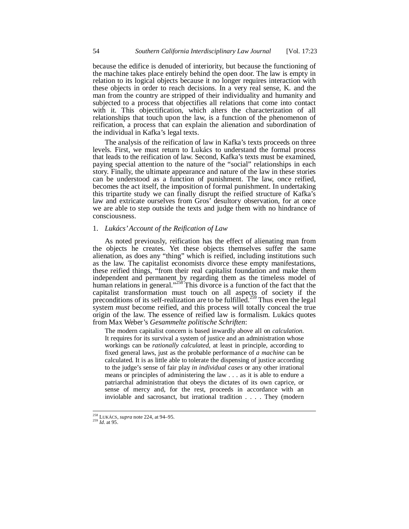because the edifice is denuded of interiority, but because the functioning of the machine takes place entirely behind the open door. The law is empty in relation to its logical objects because it no longer requires interaction with these objects in order to reach decisions. In a very real sense, K. and the man from the country are stripped of their individuality and humanity and subjected to a process that objectifies all relations that come into contact with it. This objectification, which alters the characterization of all relationships that touch upon the law, is a function of the phenomenon of reification, a process that can explain the alienation and subordination of the individual in Kafka's legal texts.

The analysis of the reification of law in Kafka's texts proceeds on three levels. First, we must return to Lukács to understand the formal process that leads to the reification of law. Second, Kafka's texts must be examined, paying special attention to the nature of the "social" relationships in each story. Finally, the ultimate appearance and nature of the law in these stories can be understood as a function of punishment. The law, once reified, becomes the act itself, the imposition of formal punishment. In undertaking this tripartite study we can finally disrupt the reified structure of Kafka's law and extricate ourselves from Gros' desultory observation, for at once we are able to step outside the texts and judge them with no hindrance of consciousness.

# 1. *Lukács' Account of the Reification of Law*

As noted previously, reification has the effect of alienating man from the objects he creates. Yet these objects themselves suffer the same alienation, as does any "thing" which is reified, including institutions such as the law. The capitalist economists divorce these empty manifestations, these reified things, "from their real capitalist foundation and make them independent and permanent by regarding them as the timeless model of human relations in general."<sup>258</sup> This divorce is a function of the fact that the capitalist transformation must touch on all aspects of society if the preconditions of its self-realization are to be fulfilled.<sup>259</sup> Thus even the legal system *must* become reified, and this process will totally conceal the true origin of the law. The essence of reified law is formalism. Lukács quotes from Max Weber's *Gesammelte politische Schriften*:

The modern capitalist concern is based inwardly above all on *calculation*. It requires for its survival a system of justice and an administration whose workings can be *rationally calculated*, at least in principle, according to fixed general laws, just as the probable performance of *a machine* can be calculated. It is as little able to tolerate the dispensing of justice according to the judge's sense of fair play *in individual cases* or any other irrational means or principles of administering the law . . . as it is able to endure a patriarchal administration that obeys the dictates of its own caprice, or sense of mercy and, for the rest, proceeds in accordance with an inviolable and sacrosanct, but irrational tradition . . . . They (modern

<sup>258</sup> LUKÁCS, *supra* note 224, at 94–95.

<sup>259</sup> *Id*. at 95.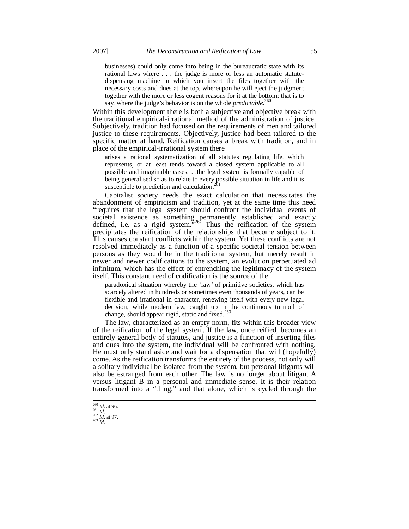businesses) could only come into being in the bureaucratic state with its rational laws where . . . the judge is more or less an automatic statutedispensing machine in which you insert the files together with the necessary costs and dues at the top, whereupon he will eject the judgment together with the more or less cogent reasons for it at the bottom: that is to say, where the judge's behavior is on the whole *predictable*. 260

Within this development there is both a subjective and objective break with the traditional empirical-irrational method of the administration of justice. Subjectively, tradition had focused on the requirements of men and tailored justice to these requirements. Objectively, justice had been tailored to the specific matter at hand. Reification causes a break with tradition, and in place of the empirical-irrational system there

arises a rational systematization of all statutes regulating life, which represents, or at least tends toward a closed system applicable to all possible and imaginable cases. . .the legal system is formally capable of being generalised so as to relate to every possible situation in life and it is susceptible to prediction and calculation.<sup>261</sup>

Capitalist society needs the exact calculation that necessitates the abandonment of empiricism and tradition, yet at the same time this need "requires that the legal system should confront the individual events of societal existence as something permanently established and exactly defined, i.e. as a rigid system.<sup>5262</sup> Thus the reification of the system precipitates the reification of the relationships that become subject to it. This causes constant conflicts within the system. Yet these conflicts are not resolved immediately as a function of a specific societal tension between persons as they would be in the traditional system, but merely result in newer and newer codifications to the system, an evolution perpetuated ad infinitum, which has the effect of entrenching the legitimacy of the system itself. This constant need of codification is the source of the

paradoxical situation whereby the 'law' of primitive societies, which has scarcely altered in hundreds or sometimes even thousands of years, can be flexible and irrational in character, renewing itself with every new legal decision, while modern law, caught up in the continuous turmoil of change, should appear rigid, static and fixed.<sup>263</sup>

The law, characterized as an empty norm, fits within this broader view of the reification of the legal system. If the law, once reified, becomes an entirely general body of statutes, and justice is a function of inserting files and dues into the system, the individual will be confronted with nothing. He must only stand aside and wait for a dispensation that will (hopefully) come. As the reification transforms the entirety of the process, not only will a solitary individual be isolated from the system, but personal litigants will also be estranged from each other. The law is no longer about litigant A versus litigant B in a personal and immediate sense. It is their relation transformed into a "thing," and that alone, which is cycled through the

<sup>260</sup> *Id*. at 96. <sup>261</sup> *Id*. <sup>262</sup> *Id*. at 97.

<sup>263</sup> *Id*.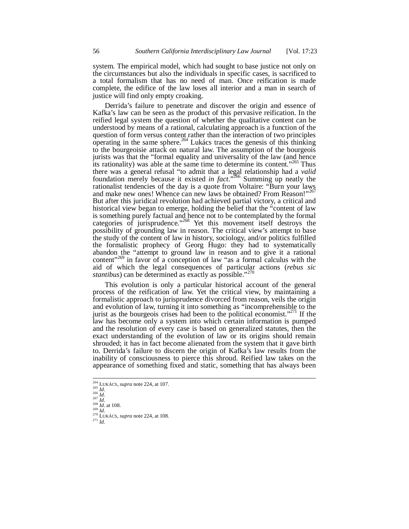system. The empirical model, which had sought to base justice not only on the circumstances but also the individuals in specific cases, is sacrificed to a total formalism that has no need of man. Once reification is made complete, the edifice of the law loses all interior and a man in search of justice will find only empty croaking.

Derrida's failure to penetrate and discover the origin and essence of Kafka's law can be seen as the product of this pervasive reification. In the reified legal system the question of whether the qualitative content can be understood by means of a rational, calculating approach is a function of the question of form versus content rather than the interaction of two principles operating in the same sphere.<sup>264</sup> Lukács traces the genesis of this thinking to the bourgeoisie attack on natural law. The assumption of the bourgeois jurists was that the "formal equality and universality of the law (and hence its rationality) was able at the same time to determine its content."<sup>265</sup> Thus there was a general refusal "to admit that a legal relationship had a *valid* foundation merely because it existed *in fact*."<sup>266</sup> Summing up neatly the rationalist tendencies of the day is a quote from Voltaire: "Burn your laws and make new ones! Whence can new laws be obtained? From Reason!"267 But after this juridical revolution had achieved partial victory, a critical and historical view began to emerge, holding the belief that the "content of law is something purely factual and hence not to be contemplated by the formal categories of jurisprudence."<sup>268</sup> Yet this movement itself destroys the possibility of grounding law in reason. The critical view's attempt to base the study of the content of law in history, sociology, and/or politics fulfilled the formalistic prophecy of Georg Hugo: they had to systematically abandon the "attempt to ground law in reason and to give it a rational content"<sup>269</sup> in favor of a conception of law "as a formal calculus with the aid of which the legal consequences of particular actions (*rebus sic stantibus*) can be determined as exactly as possible."<sup>270</sup>

This evolution is only a particular historical account of the general process of the reification of law. Yet the critical view, by maintaining a formalistic approach to jurisprudence divorced from reason, veils the origin and evolution of law, turning it into something as "incomprehensible to the jurist as the bourgeois crises had been to the political economist."<sup>271</sup> If the law has become only a system into which certain information is pumped and the resolution of every case is based on generalized statutes, then the exact understanding of the evolution of law or its origins should remain shrouded; it has in fact become alienated from the system that it gave birth to. Derrida's failure to discern the origin of Kafka's law results from the inability of consciousness to pierce this shroud. Reified law takes on the appearance of something fixed and static, something that has always been

<sup>264</sup> LUKÁCS, *supra* note 224, at 107.

<sup>265</sup> *Id*. <sup>266</sup> *Id*. <sup>267</sup> *Id*.

 $^{268}$  *Id.* at 108.

<sup>269</sup> *Id*. <sup>270</sup> LUKÁCS, *supra* note 224, at 108. <sup>271</sup> *Id*.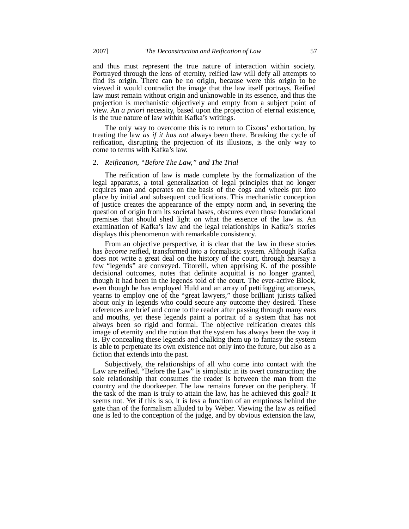and thus must represent the true nature of interaction within society. Portrayed through the lens of eternity, reified law will defy all attempts to find its origin. There can be no origin, because were this origin to be viewed it would contradict the image that the law itself portrays. Reified law must remain without origin and unknowable in its essence, and thus the projection is mechanistic objectively and empty from a subject point of view. An *a priori* necessity, based upon the projection of eternal existence, is the true nature of law within Kafka's writings.

The only way to overcome this is to return to Cixous' exhortation, by treating the law *as if it has not* always been there. Breaking the cycle of reification, disrupting the projection of its illusions, is the only way to come to terms with Kafka's law.

#### 2. *Reification, "Before The Law," and The Trial*

The reification of law is made complete by the formalization of the legal apparatus, a total generalization of legal principles that no longer requires man and operates on the basis of the cogs and wheels put into place by initial and subsequent codifications. This mechanistic conception of justice creates the appearance of the empty norm and, in severing the question of origin from its societal bases, obscures even those foundational premises that should shed light on what the essence of the law is. An examination of Kafka's law and the legal relationships in Kafka's stories displays this phenomenon with remarkable consistency.

From an objective perspective, it is clear that the law in these stories has *become* reified, transformed into a formalistic system. Although Kafka does not write a great deal on the history of the court, through hearsay a few "legends" are conveyed. Titorelli, when apprising K. of the possible decisional outcomes, notes that definite acquittal is no longer granted, though it had been in the legends told of the court. The ever-active Block, even though he has employed Huld and an array of pettifogging attorneys, yearns to employ one of the "great lawyers," those brilliant jurists talked about only in legends who could secure any outcome they desired. These references are brief and come to the reader after passing through many ears and mouths, yet these legends paint a portrait of a system that has not always been so rigid and formal. The objective reification creates this image of eternity and the notion that the system has always been the way it is. By concealing these legends and chalking them up to fantasy the system is able to perpetuate its own existence not only into the future, but also as a fiction that extends into the past.

Subjectively, the relationships of all who come into contact with the Law are reified. "Before the Law" is simplistic in its overt construction; the sole relationship that consumes the reader is between the man from the country and the doorkeeper. The law remains forever on the periphery. If the task of the man is truly to attain the law, has he achieved this goal? It seems not. Yet if this is so, it is less a function of an emptiness behind the gate than of the formalism alluded to by Weber. Viewing the law as reified one is led to the conception of the judge, and by obvious extension the law,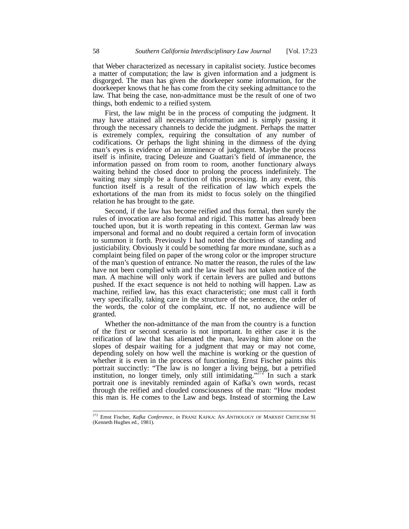that Weber characterized as necessary in capitalist society. Justice becomes a matter of computation; the law is given information and a judgment is disgorged. The man has given the doorkeeper some information, for the doorkeeper knows that he has come from the city seeking admittance to the law. That being the case, non-admittance must be the result of one of two things, both endemic to a reified system.

First, the law might be in the process of computing the judgment. It may have attained all necessary information and is simply passing it through the necessary channels to decide the judgment. Perhaps the matter is extremely complex, requiring the consultation of any number of codifications. Or perhaps the light shining in the dimness of the dying man's eyes is evidence of an imminence of judgment. Maybe the process itself is infinite, tracing Deleuze and Guattari's field of immanence, the information passed on from room to room, another functionary always waiting behind the closed door to prolong the process indefinitely. The waiting may simply be a function of this processing. In any event, this function itself is a result of the reification of law which expels the exhortations of the man from its midst to focus solely on the thingified relation he has brought to the gate.

Second, if the law has become reified and thus formal, then surely the rules of invocation are also formal and rigid. This matter has already been touched upon, but it is worth repeating in this context. German law was impersonal and formal and no doubt required a certain form of invocation to summon it forth. Previously I had noted the doctrines of standing and justiciability. Obviously it could be something far more mundane, such as a complaint being filed on paper of the wrong color or the improper structure of the man's question of entrance. No matter the reason, the rules of the law have not been complied with and the law itself has not taken notice of the man. A machine will only work if certain levers are pulled and buttons pushed. If the exact sequence is not held to nothing will happen. Law as machine, reified law, has this exact characteristic; one must call it forth very specifically, taking care in the structure of the sentence, the order of the words, the color of the complaint, etc. If not, no audience will be granted.

Whether the non-admittance of the man from the country is a function of the first or second scenario is not important. In either case it is the reification of law that has alienated the man, leaving him alone on the slopes of despair waiting for a judgment that may or may not come, depending solely on how well the machine is working or the question of whether it is even in the process of functioning. Ernst Fischer paints this portrait succinctly: "The law is no longer a living being, but a petrified institution, no longer timely, only still intimidating." $272^\circ$  In such a stark portrait one is inevitably reminded again of Kafka's own words, recast through the reified and clouded consciousness of the man: "How modest this man is. He comes to the Law and begs. Instead of storming the Law

<sup>272</sup> Ernst Fischer, *Kafka Conference*, *in* FRANZ KAFKA: AN ANTHOLOGY OF MARXIST CRITICISM 91 (Kenneth Hughes ed., 1981).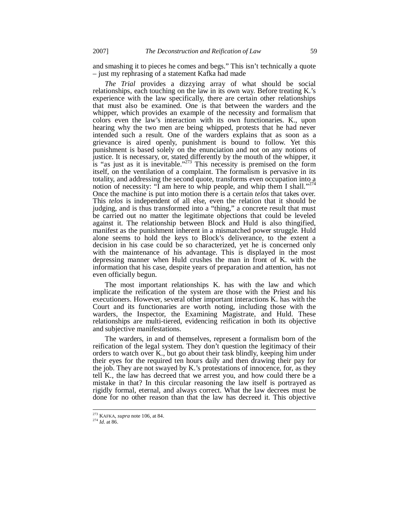and smashing it to pieces he comes and begs." This isn't technically a quote – just my rephrasing of a statement Kafka had made

*The Trial* provides a dizzying array of what should be social relationships, each touching on the law in its own way. Before treating K.'s experience with the law specifically, there are certain other relationships that must also be examined. One is that between the warders and the whipper, which provides an example of the necessity and formalism that colors even the law's interaction with its own functionaries. K., upon hearing why the two men are being whipped, protests that he had never intended such a result. One of the warders explains that as soon as a grievance is aired openly, punishment is bound to follow. Yet this punishment is based solely on the enunciation and not on any notions of justice. It is necessary, or, stated differently by the mouth of the whipper, it is "as just as it is inevitable." $2^{73}$  This necessity is premised on the form itself, on the ventilation of a complaint. The formalism is pervasive in its totality, and addressing the second quote, transforms even occupation into a notion of necessity: "I am here to whip people, and whip them I shall."<sup>274</sup> Once the machine is put into motion there is a certain *telos* that takes over. This *telos* is independent of all else, even the relation that it should be judging, and is thus transformed into a "thing," a concrete result that must be carried out no matter the legitimate objections that could be leveled against it. The relationship between Block and Huld is also thingified, manifest as the punishment inherent in a mismatched power struggle. Huld alone seems to hold the keys to Block's deliverance, to the extent a decision in his case could be so characterized, yet he is concerned only with the maintenance of his advantage. This is displayed in the most depressing manner when Huld crushes the man in front of K. with the information that his case, despite years of preparation and attention, has not even officially begun.

The most important relationships K. has with the law and which implicate the reification of the system are those with the Priest and his executioners. However, several other important interactions K. has with the Court and its functionaries are worth noting, including those with the warders, the Inspector, the Examining Magistrate, and Huld. These relationships are multi-tiered, evidencing reification in both its objective and subjective manifestations.

The warders, in and of themselves, represent a formalism born of the reification of the legal system. They don't question the legitimacy of their orders to watch over K., but go about their task blindly, keeping him under their eyes for the required ten hours daily and then drawing their pay for the job. They are not swayed by K.'s protestations of innocence, for, as they tell K., the law has decreed that we arrest you, and how could there be a mistake in that? In this circular reasoning the law itself is portrayed as rigidly formal, eternal, and always correct. What the law decrees must be done for no other reason than that the law has decreed it. This objective

<sup>273</sup> KAFKA, *supra* note 106, at 84.

<sup>274</sup> *Id*. at 86.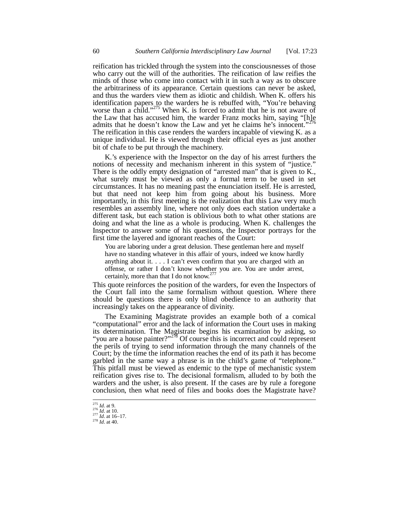reification has trickled through the system into the consciousnesses of those who carry out the will of the authorities. The reification of law reifies the minds of those who come into contact with it in such a way as to obscure the arbitrariness of its appearance. Certain questions can never be asked, and thus the warders view them as idiotic and childish. When K. offers his identification papers to the warders he is rebuffed with, "You're behaving worse than a child."<sup>275</sup> When K. is forced to admit that he is not aware of the Law that has accused him, the warder Franz mocks him, saying "[h]e admits that he doesn't know the Law and yet he claims he's innocent." The reification in this case renders the warders incapable of viewing K. as a unique individual. He is viewed through their official eyes as just another bit of chafe to be put through the machinery.

K.'s experience with the Inspector on the day of his arrest furthers the notions of necessity and mechanism inherent in this system of "justice." There is the oddly empty designation of "arrested man" that is given to K., what surely must be viewed as only a formal term to be used in set circumstances. It has no meaning past the enunciation itself. He is arrested, but that need not keep him from going about his business. More importantly, in this first meeting is the realization that this Law very much resembles an assembly line, where not only does each station undertake a different task, but each station is oblivious both to what other stations are doing and what the line as a whole is producing. When K. challenges the Inspector to answer some of his questions, the Inspector portrays for the first time the layered and ignorant reaches of the Court:

You are laboring under a great delusion. These gentleman here and myself have no standing whatever in this affair of yours, indeed we know hardly anything about it. . . . I can't even confirm that you are charged with an offense, or rather I don't know whether you are. You are under arrest, certainly, more than that I do not know.<sup>2</sup>

This quote reinforces the position of the warders, for even the Inspectors of the Court fall into the same formalism without question. Where there should be questions there is only blind obedience to an authority that increasingly takes on the appearance of divinity.

The Examining Magistrate provides an example both of a comical "computational" error and the lack of information the Court uses in making its determination. The Magistrate begins his examination by asking, so "you are a house painter?"<sup>278</sup> Of course this is incorrect and could represent the perils of trying to send information through the many channels of the Court; by the time the information reaches the end of its path it has become garbled in the same way a phrase is in the child's game of "telephone." This pitfall must be viewed as endemic to the type of mechanistic system reification gives rise to. The decisional formalism, alluded to by both the warders and the usher, is also present. If the cases are by rule a foregone conclusion, then what need of files and books does the Magistrate have?

<sup>275</sup> *Id.* at 9.

<sup>276</sup> *Id*. at 10. <sup>277</sup> *Id*. at 16–17.

<sup>278</sup> *Id*. at 40.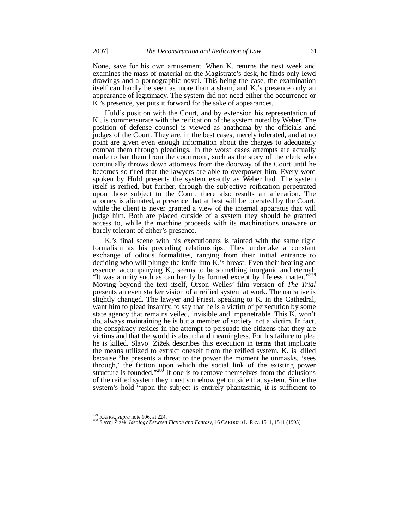None, save for his own amusement. When K. returns the next week and examines the mass of material on the Magistrate's desk, he finds only lewd drawings and a pornographic novel. This being the case, the examination itself can hardly be seen as more than a sham, and K.'s presence only an appearance of legitimacy. The system did not need either the occurrence or K.'s presence, yet puts it forward for the sake of appearances.

Huld's position with the Court, and by extension his representation of K., is commensurate with the reification of the system noted by Weber. The position of defense counsel is viewed as anathema by the officials and judges of the Court. They are, in the best cases, merely tolerated, and at no point are given even enough information about the charges to adequately combat them through pleadings. In the worst cases attempts are actually made to bar them from the courtroom, such as the story of the clerk who continually throws down attorneys from the doorway of the Court until he becomes so tired that the lawyers are able to overpower him. Every word spoken by Huld presents the system exactly as Weber had. The system itself is reified, but further, through the subjective reification perpetrated upon those subject to the Court, there also results an alienation. The attorney is alienated, a presence that at best will be tolerated by the Court, while the client is never granted a view of the internal apparatus that will judge him. Both are placed outside of a system they should be granted access to, while the machine proceeds with its machinations unaware or barely tolerant of either's presence.

K.'s final scene with his executioners is tainted with the same rigid formalism as his preceding relationships. They undertake a constant exchange of odious formalities, ranging from their initial entrance to deciding who will plunge the knife into K.'s breast. Even their bearing and essence, accompanying K., seems to be something inorganic and eternal: "It was a unity such as can hardly be formed except by lifeless matter."<sup>2</sup> Moving beyond the text itself, Orson Welles' film version of *The Trial* presents an even starker vision of a reified system at work. The narrative is slightly changed. The lawyer and Priest, speaking to K. in the Cathedral, want him to plead insanity, to say that he is a victim of persecution by some state agency that remains veiled, invisible and impenetrable. This K. won't do, always maintaining he is but a member of society, not a victim. In fact, the conspiracy resides in the attempt to persuade the citizens that they are victims and that the world is absurd and meaningless. For his failure to plea he is killed. Slavoj Žižek describes this execution in terms that implicate the means utilized to extract oneself from the reified system. K. is killed because "he presents a threat to the power the moment he unmasks, 'sees through,' the fiction upon which the social link of the existing power structure is founded."<sup>280</sup> If one is to remove themselves from the delusions of the reified system they must somehow get outside that system. Since the system's hold "upon the subject is entirely phantasmic, it is sufficient to

<sup>279</sup> KAFKA, *supra* note 106, at 224.

<sup>280</sup> Slavoj äLåek, *Ideology Between Fiction and Fantasy*, 16 CARDOZO L. REV. 1511, 1511 (1995).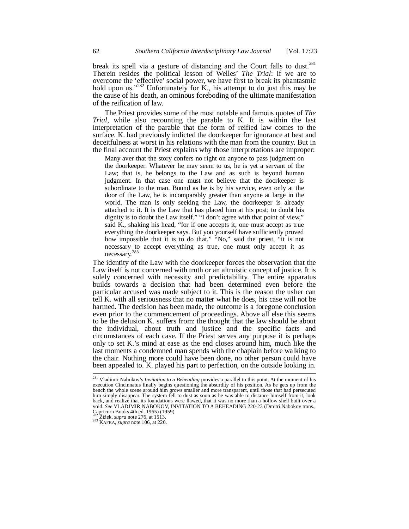break its spell via a gesture of distancing and the Court falls to dust.<sup>281</sup> Therein resides the political lesson of Welles' *The Trial*: if we are to overcome the 'effective' social power, we have first to break its phantasmic hold upon us."<sup>282</sup> Unfortunately for K., his attempt to do just this may be the cause of his death, an ominous foreboding of the ultimate manifestation of the reification of law.

The Priest provides some of the most notable and famous quotes of *The Trial*, while also recounting the parable to K. It is within the last interpretation of the parable that the form of reified law comes to the surface. K. had previously indicted the doorkeeper for ignorance at best and deceitfulness at worst in his relations with the man from the country. But in the final account the Priest explains why those interpretations are improper:

Many aver that the story confers no right on anyone to pass judgment on the doorkeeper. Whatever he may seem to us, he is yet a servant of the Law; that is, he belongs to the Law and as such is beyond human judgment. In that case one must not believe that the doorkeeper is subordinate to the man. Bound as he is by his service, even only at the door of the Law, he is incomparably greater than anyone at large in the world. The man is only seeking the Law, the doorkeeper is already attached to it. It is the Law that has placed him at his post; to doubt his dignity is to doubt the Law itself." "I don't agree with that point of view," said K., shaking his head, "for if one accepts it, one must accept as true everything the doorkeeper says. But you yourself have sufficiently proved how impossible that it is to do that." "No," said the priest, "it is not necessary to accept everything as true, one must only accept it as necessary.<sup>283</sup>

The identity of the Law with the doorkeeper forces the observation that the Law itself is not concerned with truth or an altruistic concept of justice. It is solely concerned with necessity and predictability. The entire apparatus builds towards a decision that had been determined even before the particular accused was made subject to it. This is the reason the usher can tell K. with all seriousness that no matter what he does, his case will not be harmed. The decision has been made, the outcome is a foregone conclusion even prior to the commencement of proceedings. Above all else this seems to be the delusion K. suffers from: the thought that the law should be about the individual, about truth and justice and the specific facts and circumstances of each case. If the Priest serves any purpose it is perhaps only to set K.'s mind at ease as the end closes around him, much like the last moments a condemned man spends with the chaplain before walking to the chair. Nothing more could have been done, no other person could have been appealed to. K. played his part to perfection, on the outside looking in.

<sup>281</sup> Vladimir Nabokov's *Invitation to a Beheading* provides a parallel to this point. At the moment of his execution Cincinnatus finally begins questioning the absurdity of his position. As he gets up from the bench the whole scene around him grows smaller and more transparent, until those that had persecuted him simply disappear. The system fell to dust as soon as he was able to distance himself from it, look back, and realize that its foundations were flawed, that it was no more than a hollow shell built over a void. *See* VLADIMIR NABOKOV, INVITATION TO A BEHEADING 220-23 (Dmitri Nabokov trans., Capricorn Books 4th ed. 1965) (1959)

 $\widetilde{Z}$ ižek, *supra* note 276, at 1513.

<sup>283</sup> KAFKA, *supra* note 106, at 220.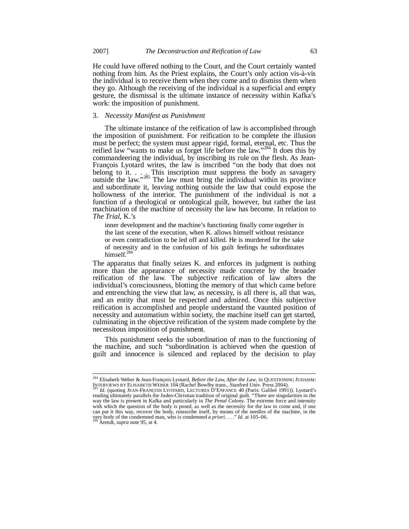He could have offered nothing to the Court, and the Court certainly wanted nothing from him. As the Priest explains, the Court's only action vis-à-vis the individual is to receive them when they come and to dismiss them when they go. Although the receiving of the individual is a superficial and empty gesture, the dismissal is the ultimate instance of necessity within Kafka's work: the imposition of punishment.

### 3. *Necessity Manifest as Punishment*

The ultimate instance of the reification of law is accomplished through the imposition of punishment. For reification to be complete the illusion must be perfect; the system must appear rigid, formal, eternal, etc. Thus the reified law "wants to make us forget life before the law."<sup>284</sup> It does this by commandeering the individual, by inscribing its rule on the flesh. As Jean-François Lyotard writes, the law is inscribed "on the body that does not belong to it.  $\ldots$  This inscription must suppress the body as savagery outside the law."<sup>285</sup> The law must bring the individual within its province and subordinate it, leaving nothing outside the law that could expose the hollowness of the interior. The punishment of the individual is not a function of a theological or ontological guilt, however, but rather the last machination of the machine of necessity the law has become. In relation to *The Trial*, K.'s

inner development and the machine's functioning finally come together in the last scene of the execution, when K. allows himself without resistance or even contradiction to be led off and killed. He is murdered for the sake of necessity and in the confusion of his guilt feelings he subordinates himself.<sup>286</sup>

The apparatus that finally seizes K. and enforces its judgment is nothing more than the appearance of necessity made concrete by the broader reification of the law. The subjective reification of law alters the individual's consciousness, blotting the memory of that which came before and entrenching the view that law, as necessity, is all there is, all that was, and an entity that must be respected and admired. Once this subjective reification is accomplished and people understand the vaunted position of necessity and automatism within society, the machine itself can get started, culminating in the objective reification of the system made complete by the necessitous imposition of punishment.

This punishment seeks the subordination of man to the functioning of the machine, and such "subordination is achieved when the question of guilt and innocence is silenced and replaced by the decision to play

<sup>284</sup> Elisabeth Weber & Jean-François Lyotard, *Before the Law, After the Law*, in QUESTIONING JUDAISM:

INTERVIEWS BY ELISABETH WEBER 104 (Rachel Bowlby trans., Stanford Univ. Press 2004).<br><sup>285</sup> Id. (quoting JEAN-FRANÇOIS LYOTARD, LECTURES D'ENFANCE 40 (Paris: Galileé 1991)). Lyotard's<br>reading ultimately parallels the Judeoway the law is present in Kafka and particularly in *The Penal Colony*. The extreme force and intensity with which the question of the body is posed, as well as the necessity for the law to come and, if one can put it this way, recover the body, reinscribe itself, by means of the needles of the machine, in the very body of the condemned man, who is condemned *a priori*. . . ." *Id.* at 105–06. <sup>286</sup> Arendt, *supra* note 95, at 4.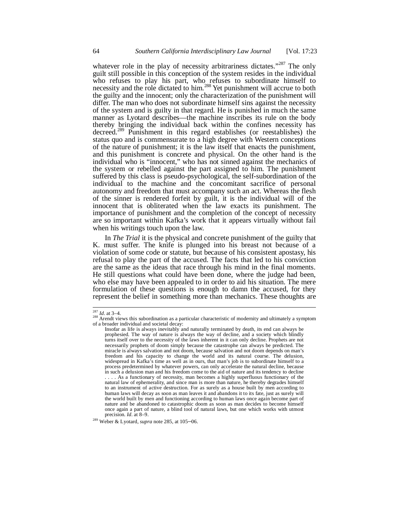whatever role in the play of necessity arbitrariness dictates."<sup>287</sup> The only guilt still possible in this conception of the system resides in the individual who refuses to play his part, who refuses to subordinate himself to necessity and the role dictated to him.<sup>288</sup> Yet punishment will accrue to both the guilty and the innocent; only the characterization of the punishment will differ. The man who does not subordinate himself sins against the necessity of the system and is guilty in that regard. He is punished in much the same manner as Lyotard describes—the machine inscribes its rule on the body thereby bringing the individual back within the confines necessity has decreed.<sup>289</sup> Punishment in this regard establishes (or reestablishes) the status quo and is commensurate to a high degree with Western conceptions of the nature of punishment; it is the law itself that enacts the punishment, and this punishment is concrete and physical. On the other hand is the individual who is "innocent," who has not sinned against the mechanics of the system or rebelled against the part assigned to him. The punishment suffered by this class is pseudo-psychological, the self-subordination of the individual to the machine and the concomitant sacrifice of personal autonomy and freedom that must accompany such an act. Whereas the flesh of the sinner is rendered forfeit by guilt, it is the individual will of the innocent that is obliterated when the law exacts its punishment. The importance of punishment and the completion of the concept of necessity are so important within Kafka's work that it appears virtually without fail when his writings touch upon the law.

In *The Trial* it is the physical and concrete punishment of the guilty that K. must suffer. The knife is plunged into his breast not because of a violation of some code or statute, but because of his consistent apostasy, his refusal to play the part of the accused. The facts that led to his conviction are the same as the ideas that race through his mind in the final moments. He still questions what could have been done, where the judge had been, who else may have been appealed to in order to aid his situation. The mere formulation of these questions is enough to damn the accused, for they represent the belief in something more than mechanics. These thoughts are

<sup>287</sup> *Id*. at 3–4.

 $288$  Arendt views this subordination as a particular characteristic of modernity and ultimately a symptom of a broader individual and societal decay:

Insofar as life is always inevitably and naturally terminated by death, its end can always be prophesied. The way of nature is always the way of decline, and a society which blindly turns itself over to the necessity of the laws inherent in it can only decline. Prophets are not necessarily prophets of doom simply because the catastrophe can always be predicted. The miracle is always salvation and not doom, because salvation and not doom depends on man's freedom and his capacity to change the world and its natural course. The delusion, widespread in Kafka's time as well as in ours, that man's job is to subordinate himself to a process predetermined by whatever powers, can only accelerate the natural decline, because in such a delusion man and his freedom come to the aid of nature and its tendency to decline As a functionary of necessity, man becomes a highly superfluous functionary of the natural law of ephemerality, and since man is more than nature, he thereby degrades himself to an instrument of active destruction. For as surely as a house built by men according to human laws will decay as soon as man leaves it and abandons it to its fate, just as surely will the world built by men and functioning according to human laws once again become part of nature and be abandoned to catastrophic doom as soon as man decides to become himself once again a part of nature, a blind tool of natural laws, but one which works with utmost precision. *Id*. at 8–9.

<sup>289</sup> Weber & Lyotard, *supra* note 285, at 105–06.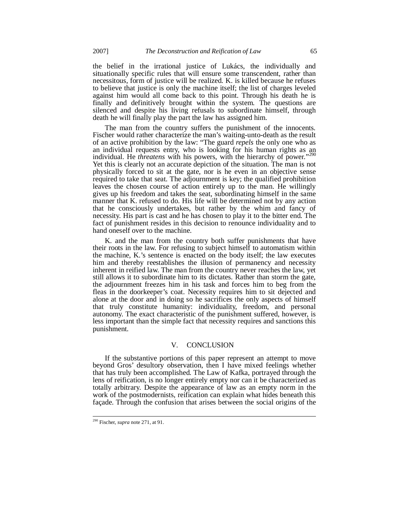the belief in the irrational justice of Lukács, the individually and situationally specific rules that will ensure some transcendent, rather than necessitous, form of justice will be realized. K. is killed because he refuses to believe that justice is only the machine itself; the list of charges leveled against him would all come back to this point. Through his death he is finally and definitively brought within the system. The questions are silenced and despite his living refusals to subordinate himself, through death he will finally play the part the law has assigned him.

The man from the country suffers the punishment of the innocents. Fischer would rather characterize the man's waiting-unto-death as the result of an active prohibition by the law: "The guard *repels* the only one who as an individual requests entry, who is looking for his human rights as an individual. He *threatens* with his powers, with the hierarchy of power."<sup>2</sup> Yet this is clearly not an accurate depiction of the situation. The man is not physically forced to sit at the gate, nor is he even in an objective sense required to take that seat. The adjournment is key; the qualified prohibition leaves the chosen course of action entirely up to the man. He willingly gives up his freedom and takes the seat, subordinating himself in the same manner that K. refused to do. His life will be determined not by any action that he consciously undertakes, but rather by the whim and fancy of necessity. His part is cast and he has chosen to play it to the bitter end. The fact of punishment resides in this decision to renounce individuality and to hand oneself over to the machine.

K. and the man from the country both suffer punishments that have their roots in the law. For refusing to subject himself to automatism within the machine, K.'s sentence is enacted on the body itself; the law executes him and thereby reestablishes the illusion of permanency and necessity inherent in reified law. The man from the country never reaches the law, yet still allows it to subordinate him to its dictates. Rather than storm the gate, the adjournment freezes him in his task and forces him to beg from the fleas in the doorkeeper's coat. Necessity requires him to sit dejected and alone at the door and in doing so he sacrifices the only aspects of himself that truly constitute humanity: individuality, freedom, and personal autonomy. The exact characteristic of the punishment suffered, however, is less important than the simple fact that necessity requires and sanctions this punishment.

## V. CONCLUSION

If the substantive portions of this paper represent an attempt to move beyond Gros' desultory observation, then I have mixed feelings whether that has truly been accomplished. The Law of Kafka, portrayed through the lens of reification, is no longer entirely empty nor can it be characterized as totally arbitrary. Despite the appearance of law as an empty norm in the work of the postmodernists, reification can explain what hides beneath this façade. Through the confusion that arises between the social origins of the

<sup>290</sup> Fischer, *supra* note 271, at 91.